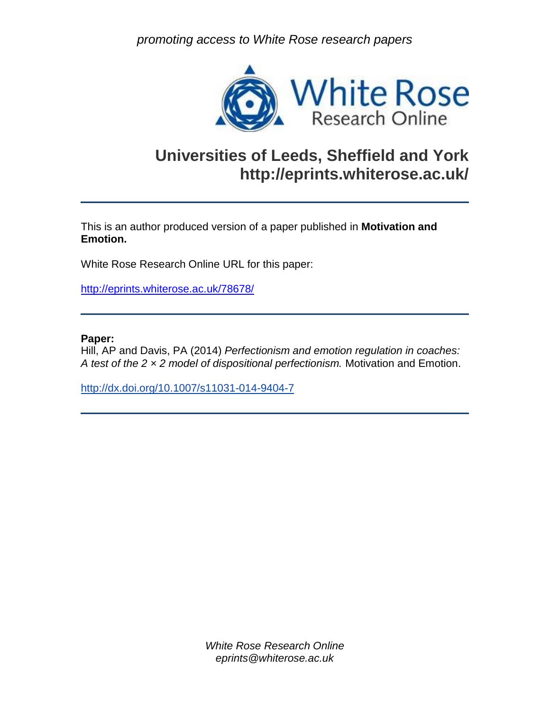*promoting access to White Rose research papers*



# **Universities of Leeds, Sheffield and York http://eprints.whiterose.ac.uk/**

This is an author produced version of a paper published in **Motivation and Emotion.**

White Rose Research Online URL for this paper:

<http://eprints.whiterose.ac.uk/78678/>

### **Paper:**

Hill, AP and Davis, PA (2014) *Perfectionism and emotion regulation in coaches: A test of the 2 × 2 model of dispositional perfectionism.* Motivation and Emotion.

<http://dx.doi.org/10.1007/s11031-014-9404-7>

*White Rose Research Online eprints@whiterose.ac.uk*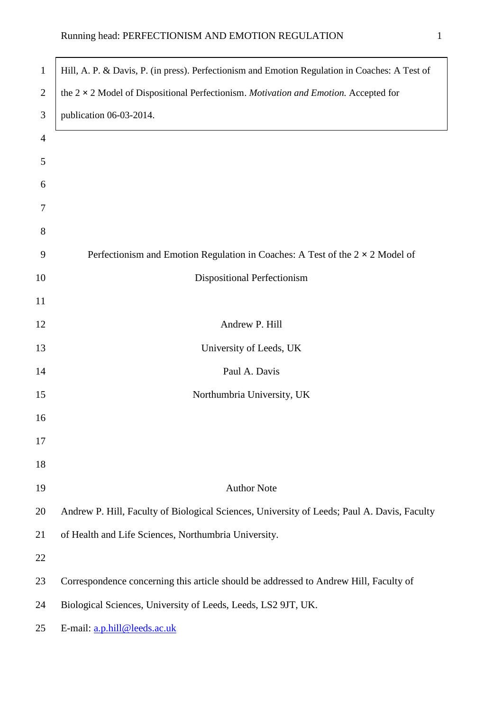í

| $\mathbf{1}$   | Hill, A. P. & Davis, P. (in press). Perfectionism and Emotion Regulation in Coaches: A Test of |
|----------------|------------------------------------------------------------------------------------------------|
| $\overline{2}$ | the $2 \times 2$ Model of Dispositional Perfectionism. Motivation and Emotion. Accepted for    |
| 3              | publication 06-03-2014.                                                                        |
| $\overline{4}$ |                                                                                                |
| 5              |                                                                                                |
| 6              |                                                                                                |
| 7              |                                                                                                |
| 8              |                                                                                                |
| 9              | Perfectionism and Emotion Regulation in Coaches: A Test of the $2 \times 2$ Model of           |
| 10             | Dispositional Perfectionism                                                                    |
| 11             |                                                                                                |
| 12             | Andrew P. Hill                                                                                 |
| 13             | University of Leeds, UK                                                                        |
| 14             | Paul A. Davis                                                                                  |
| 15             | Northumbria University, UK                                                                     |
| 16             |                                                                                                |
| 17             |                                                                                                |
| 18             |                                                                                                |
| 19             | <b>Author Note</b>                                                                             |
| 20             | Andrew P. Hill, Faculty of Biological Sciences, University of Leeds; Paul A. Davis, Faculty    |
| 21             | of Health and Life Sciences, Northumbria University.                                           |
| 22             |                                                                                                |
| 23             | Correspondence concerning this article should be addressed to Andrew Hill, Faculty of          |
| 24             | Biological Sciences, University of Leeds, Leeds, LS2 9JT, UK.                                  |
| 25             | E-mail: a.p.hill@leeds.ac.uk                                                                   |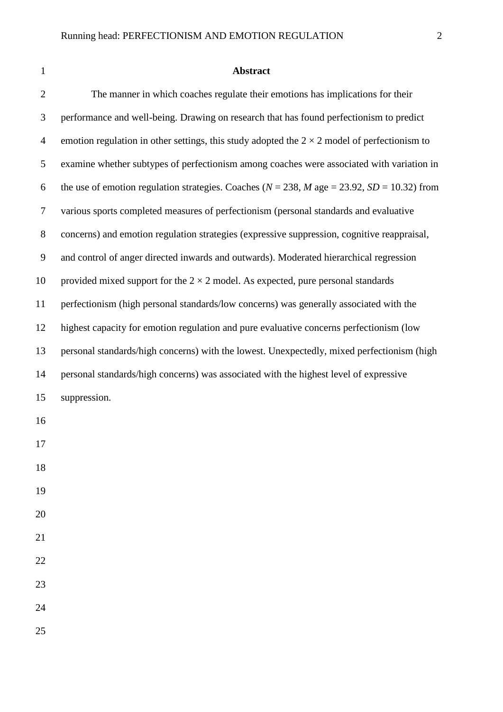## **Abstract**

| $\overline{2}$ | The manner in which coaches regulate their emotions has implications for their                      |
|----------------|-----------------------------------------------------------------------------------------------------|
| 3              | performance and well-being. Drawing on research that has found perfectionism to predict             |
| $\overline{4}$ | emotion regulation in other settings, this study adopted the $2 \times 2$ model of perfectionism to |
| 5              | examine whether subtypes of perfectionism among coaches were associated with variation in           |
| 6              | the use of emotion regulation strategies. Coaches ( $N = 238$ , M age = 23.92, SD = 10.32) from     |
| $\tau$         | various sports completed measures of perfectionism (personal standards and evaluative               |
| $8\,$          | concerns) and emotion regulation strategies (expressive suppression, cognitive reappraisal,         |
| 9              | and control of anger directed inwards and outwards). Moderated hierarchical regression              |
| 10             | provided mixed support for the $2 \times 2$ model. As expected, pure personal standards             |
| 11             | perfectionism (high personal standards/low concerns) was generally associated with the              |
| 12             | highest capacity for emotion regulation and pure evaluative concerns perfectionism (low             |
| 13             | personal standards/high concerns) with the lowest. Unexpectedly, mixed perfectionism (high          |
| 14             | personal standards/high concerns) was associated with the highest level of expressive               |
| 15             | suppression.                                                                                        |
| 16             |                                                                                                     |
| 17             |                                                                                                     |
| 18             |                                                                                                     |
| 19             |                                                                                                     |
| 20             |                                                                                                     |
| 21             |                                                                                                     |
| 22             |                                                                                                     |
| 23             |                                                                                                     |
| 24             |                                                                                                     |
| 25             |                                                                                                     |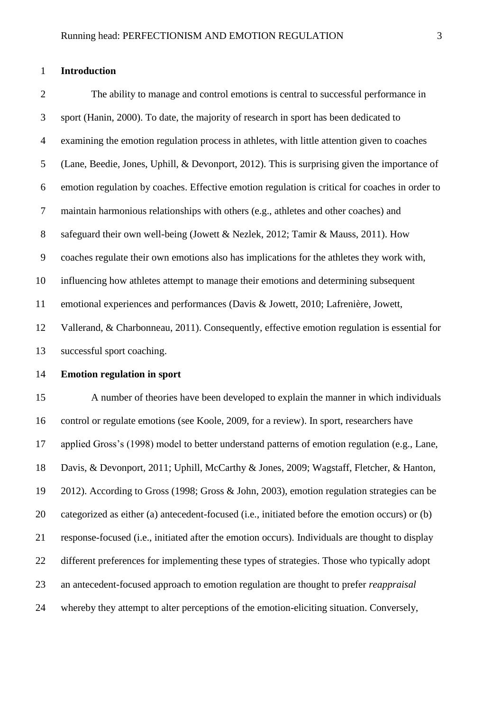#### **Introduction**

 The ability to manage and control emotions is central to successful performance in sport (Hanin, 2000). To date, the majority of research in sport has been dedicated to examining the emotion regulation process in athletes, with little attention given to coaches (Lane, Beedie, Jones, Uphill, & Devonport, 2012). This is surprising given the importance of emotion regulation by coaches. Effective emotion regulation is critical for coaches in order to maintain harmonious relationships with others (e.g., athletes and other coaches) and safeguard their own well-being (Jowett & Nezlek, 2012; Tamir & Mauss, 2011). How coaches regulate their own emotions also has implications for the athletes they work with, influencing how athletes attempt to manage their emotions and determining subsequent emotional experiences and performances (Davis & Jowett, 2010; Lafrenière, Jowett, Vallerand, & Charbonneau, 2011). Consequently, effective emotion regulation is essential for successful sport coaching.

#### **Emotion regulation in sport**

 A number of theories have been developed to explain the manner in which individuals control or regulate emotions (see Koole, 2009, for a review). In sport, researchers have applied Gross's (1998) model to better understand patterns of emotion regulation (e.g., Lane, Davis, & Devonport, 2011; Uphill, McCarthy & Jones, 2009; Wagstaff, Fletcher, & Hanton, 2012). According to Gross (1998; Gross & John, 2003), emotion regulation strategies can be categorized as either (a) antecedent-focused (i.e., initiated before the emotion occurs) or (b) response-focused (i.e., initiated after the emotion occurs). Individuals are thought to display different preferences for implementing these types of strategies. Those who typically adopt an antecedent-focused approach to emotion regulation are thought to prefer *reappraisal* whereby they attempt to alter perceptions of the emotion-eliciting situation. Conversely,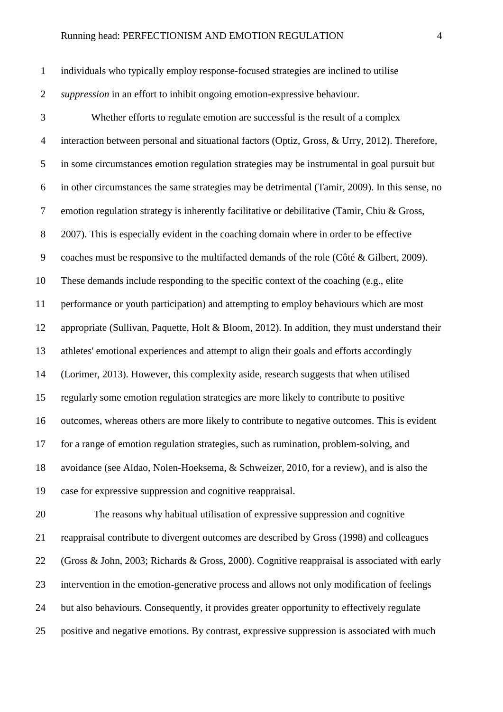individuals who typically employ response-focused strategies are inclined to utilise *suppression* in an effort to inhibit ongoing emotion-expressive behaviour.

 Whether efforts to regulate emotion are successful is the result of a complex interaction between personal and situational factors (Optiz, Gross, & Urry, 2012). Therefore, in some circumstances emotion regulation strategies may be instrumental in goal pursuit but in other circumstances the same strategies may be detrimental (Tamir, 2009). In this sense, no emotion regulation strategy is inherently facilitative or debilitative (Tamir, Chiu & Gross, 2007). This is especially evident in the coaching domain where in order to be effective coaches must be responsive to the multifacted demands of the role (Côté & Gilbert, 2009). These demands include responding to the specific context of the coaching (e.g., elite performance or youth participation) and attempting to employ behaviours which are most appropriate (Sullivan, Paquette, Holt & Bloom, 2012). In addition, they must understand their athletes' emotional experiences and attempt to align their goals and efforts accordingly (Lorimer, 2013). However, this complexity aside, research suggests that when utilised regularly some emotion regulation strategies are more likely to contribute to positive outcomes, whereas others are more likely to contribute to negative outcomes. This is evident for a range of emotion regulation strategies, such as rumination, problem-solving, and avoidance (see Aldao, Nolen-Hoeksema, & Schweizer, 2010, for a review), and is also the case for expressive suppression and cognitive reappraisal.

 The reasons why habitual utilisation of expressive suppression and cognitive reappraisal contribute to divergent outcomes are described by Gross (1998) and colleagues (Gross & John, 2003; Richards & Gross, 2000). Cognitive reappraisal is associated with early intervention in the emotion-generative process and allows not only modification of feelings but also behaviours. Consequently, it provides greater opportunity to effectively regulate positive and negative emotions. By contrast, expressive suppression is associated with much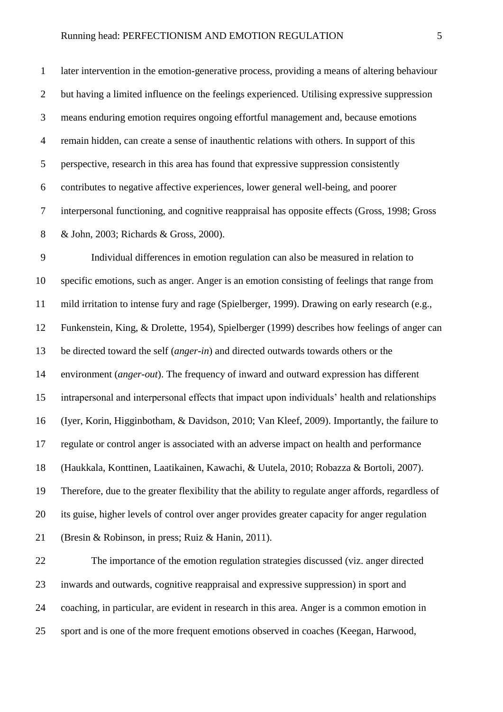later intervention in the emotion-generative process, providing a means of altering behaviour but having a limited influence on the feelings experienced. Utilising expressive suppression means enduring emotion requires ongoing effortful management and, because emotions remain hidden, can create a sense of inauthentic relations with others. In support of this perspective, research in this area has found that expressive suppression consistently contributes to negative affective experiences, lower general well-being, and poorer interpersonal functioning, and cognitive reappraisal has opposite effects (Gross, 1998; Gross & John, 2003; Richards & Gross, 2000).

 Individual differences in emotion regulation can also be measured in relation to specific emotions, such as anger. Anger is an emotion consisting of feelings that range from mild irritation to intense fury and rage (Spielberger, 1999). Drawing on early research (e.g., Funkenstein, King, & Drolette, 1954), Spielberger (1999) describes how feelings of anger can be directed toward the self (*anger-in*) and directed outwards towards others or the environment (*anger-out*). The frequency of inward and outward expression has different intrapersonal and interpersonal effects that impact upon individuals' health and relationships (Iyer, Korin, Higginbotham, & Davidson, 2010; Van Kleef, 2009). Importantly, the failure to regulate or control anger is associated with an adverse impact on health and performance (Haukkala, Konttinen, Laatikainen, Kawachi, & Uutela, 2010; Robazza & Bortoli, 2007). Therefore, due to the greater flexibility that the ability to regulate anger affords, regardless of its guise, higher levels of control over anger provides greater capacity for anger regulation (Bresin & Robinson, in press; Ruiz & Hanin, 2011).

 The importance of the emotion regulation strategies discussed (viz. anger directed inwards and outwards, cognitive reappraisal and expressive suppression) in sport and coaching, in particular, are evident in research in this area. Anger is a common emotion in sport and is one of the more frequent emotions observed in coaches (Keegan, Harwood,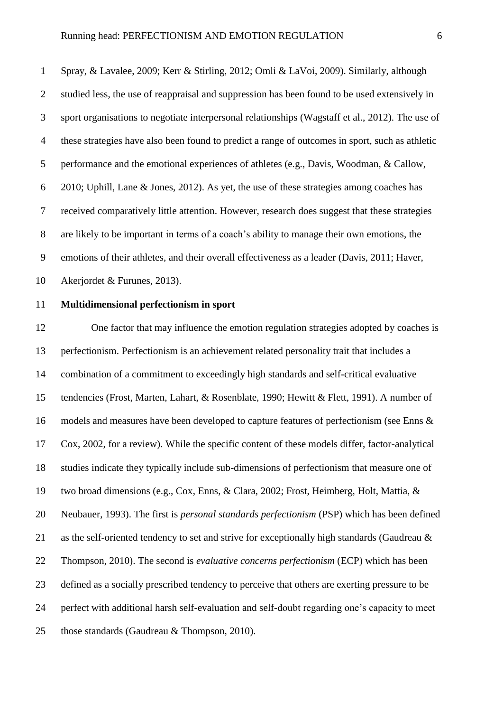Spray, & Lavalee, 2009; Kerr & Stirling, 2012; Omli & LaVoi, 2009). Similarly, although studied less, the use of reappraisal and suppression has been found to be used extensively in sport organisations to negotiate interpersonal relationships (Wagstaff et al., 2012). The use of these strategies have also been found to predict a range of outcomes in sport, such as athletic performance and the emotional experiences of athletes (e.g., Davis, Woodman, & Callow, 2010; Uphill, Lane & Jones, 2012). As yet, the use of these strategies among coaches has received comparatively little attention. However, research does suggest that these strategies are likely to be important in terms of a coach's ability to manage their own emotions, the emotions of their athletes, and their overall effectiveness as a leader (Davis, 2011; Haver, Akerjordet & Furunes, 2013).

#### **Multidimensional perfectionism in sport**

 One factor that may influence the emotion regulation strategies adopted by coaches is perfectionism. Perfectionism is an achievement related personality trait that includes a combination of a commitment to exceedingly high standards and self-critical evaluative tendencies (Frost, Marten, Lahart, & Rosenblate, 1990; Hewitt & Flett, 1991). A number of models and measures have been developed to capture features of perfectionism (see Enns & Cox, 2002, for a review). While the specific content of these models differ, factor-analytical studies indicate they typically include sub-dimensions of perfectionism that measure one of two broad dimensions (e.g., Cox, Enns, & Clara, 2002; Frost, Heimberg, Holt, Mattia, & Neubauer, 1993). The first is *personal standards perfectionism* (PSP) which has been defined as the self-oriented tendency to set and strive for exceptionally high standards (Gaudreau & Thompson, 2010). The second is *evaluative concerns perfectionism* (ECP) which has been defined as a socially prescribed tendency to perceive that others are exerting pressure to be perfect with additional harsh self-evaluation and self-doubt regarding one's capacity to meet those standards (Gaudreau & Thompson, 2010).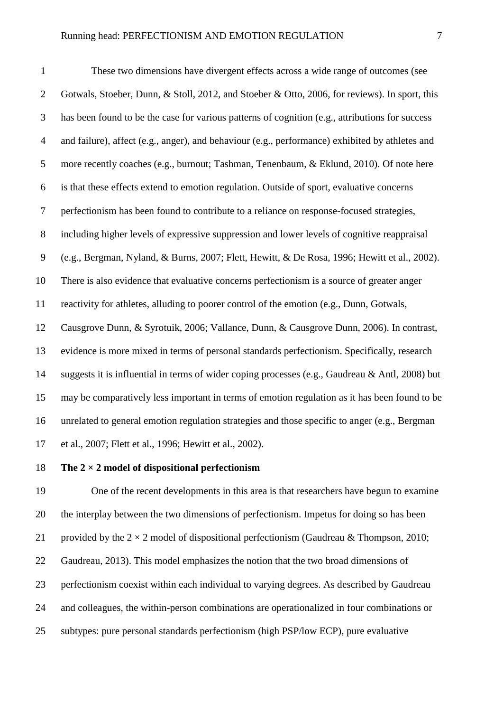These two dimensions have divergent effects across a wide range of outcomes (see Gotwals, Stoeber, Dunn, & Stoll, 2012, and Stoeber & Otto, 2006, for reviews). In sport, this has been found to be the case for various patterns of cognition (e.g., attributions for success and failure), affect (e.g., anger), and behaviour (e.g., performance) exhibited by athletes and more recently coaches (e.g., burnout; Tashman, Tenenbaum, & Eklund, 2010). Of note here is that these effects extend to emotion regulation. Outside of sport, evaluative concerns perfectionism has been found to contribute to a reliance on response-focused strategies, including higher levels of expressive suppression and lower levels of cognitive reappraisal (e.g., Bergman, Nyland, & Burns, 2007; Flett, Hewitt, & De Rosa, 1996; Hewitt et al., 2002). There is also evidence that evaluative concerns perfectionism is a source of greater anger reactivity for athletes, alluding to poorer control of the emotion (e.g., Dunn, Gotwals, Causgrove Dunn, & Syrotuik, 2006; Vallance, Dunn, & Causgrove Dunn, 2006). In contrast, evidence is more mixed in terms of personal standards perfectionism. Specifically, research suggests it is influential in terms of wider coping processes (e.g., Gaudreau & Antl, 2008) but may be comparatively less important in terms of emotion regulation as it has been found to be unrelated to general emotion regulation strategies and those specific to anger (e.g., Bergman et al., 2007; Flett et al., 1996; Hewitt et al., 2002).

#### **The 2 × 2 model of dispositional perfectionism**

 One of the recent developments in this area is that researchers have begun to examine the interplay between the two dimensions of perfectionism. Impetus for doing so has been 21 provided by the  $2 \times 2$  model of dispositional perfectionism (Gaudreau & Thompson, 2010; Gaudreau, 2013). This model emphasizes the notion that the two broad dimensions of perfectionism coexist within each individual to varying degrees. As described by Gaudreau and colleagues, the within-person combinations are operationalized in four combinations or subtypes: pure personal standards perfectionism (high PSP/low ECP), pure evaluative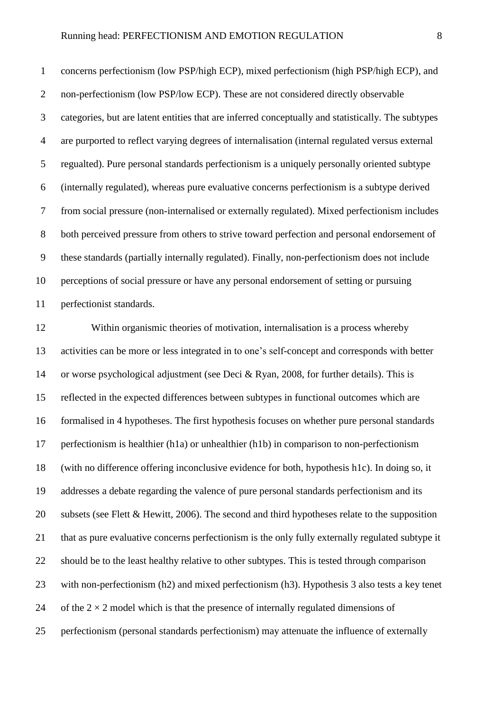concerns perfectionism (low PSP/high ECP), mixed perfectionism (high PSP/high ECP), and non-perfectionism (low PSP/low ECP). These are not considered directly observable categories, but are latent entities that are inferred conceptually and statistically. The subtypes are purported to reflect varying degrees of internalisation (internal regulated versus external regualted). Pure personal standards perfectionism is a uniquely personally oriented subtype (internally regulated), whereas pure evaluative concerns perfectionism is a subtype derived from social pressure (non-internalised or externally regulated). Mixed perfectionism includes both perceived pressure from others to strive toward perfection and personal endorsement of these standards (partially internally regulated). Finally, non-perfectionism does not include perceptions of social pressure or have any personal endorsement of setting or pursuing perfectionist standards.

 Within organismic theories of motivation, internalisation is a process whereby activities can be more or less integrated in to one's self-concept and corresponds with better or worse psychological adjustment (see Deci & Ryan, 2008, for further details). This is reflected in the expected differences between subtypes in functional outcomes which are formalised in 4 hypotheses. The first hypothesis focuses on whether pure personal standards perfectionism is healthier (h1a) or unhealthier (h1b) in comparison to non-perfectionism (with no difference offering inconclusive evidence for both, hypothesis h1c). In doing so, it addresses a debate regarding the valence of pure personal standards perfectionism and its subsets (see Flett & Hewitt, 2006). The second and third hypotheses relate to the supposition that as pure evaluative concerns perfectionism is the only fully externally regulated subtype it should be to the least healthy relative to other subtypes. This is tested through comparison with non-perfectionism (h2) and mixed perfectionism (h3). Hypothesis 3 also tests a key tenet 24 of the  $2 \times 2$  model which is that the presence of internally regulated dimensions of perfectionism (personal standards perfectionism) may attenuate the influence of externally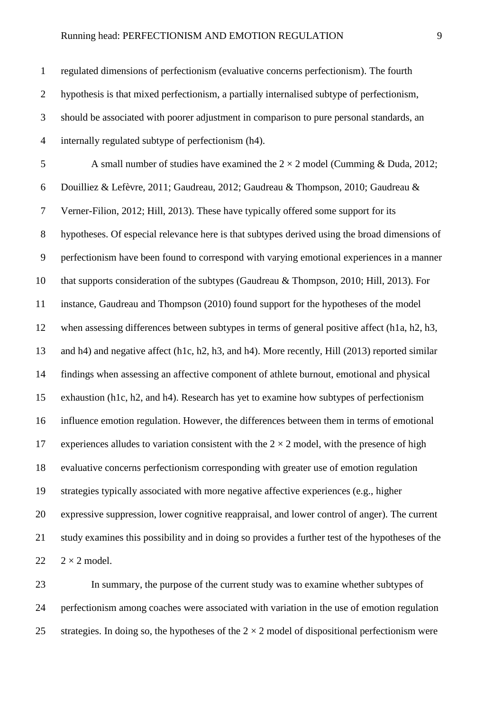| $\mathbf{1}$   | regulated dimensions of perfectionism (evaluative concerns perfectionism). The fourth              |
|----------------|----------------------------------------------------------------------------------------------------|
| $\overline{2}$ | hypothesis is that mixed perfectionism, a partially internalised subtype of perfectionism,         |
| $\mathfrak{Z}$ | should be associated with poorer adjustment in comparison to pure personal standards, an           |
| $\overline{4}$ | internally regulated subtype of perfectionism (h4).                                                |
| 5              | A small number of studies have examined the $2 \times 2$ model (Cumming & Duda, 2012;              |
| 6              | Douilliez & Lefèvre, 2011; Gaudreau, 2012; Gaudreau & Thompson, 2010; Gaudreau &                   |
| $\tau$         | Verner-Filion, 2012; Hill, 2013). These have typically offered some support for its                |
| $8\,$          | hypotheses. Of especial relevance here is that subtypes derived using the broad dimensions of      |
| $\mathbf{9}$   | perfectionism have been found to correspond with varying emotional experiences in a manner         |
| 10             | that supports consideration of the subtypes (Gaudreau & Thompson, 2010; Hill, 2013). For           |
| 11             | instance, Gaudreau and Thompson (2010) found support for the hypotheses of the model               |
| 12             | when assessing differences between subtypes in terms of general positive affect (h1a, h2, h3,      |
| 13             | and h4) and negative affect (h1c, h2, h3, and h4). More recently, Hill (2013) reported similar     |
| 14             | findings when assessing an affective component of athlete burnout, emotional and physical          |
| 15             | exhaustion (h1c, h2, and h4). Research has yet to examine how subtypes of perfectionism            |
| 16             | influence emotion regulation. However, the differences between them in terms of emotional          |
| 17             | experiences alludes to variation consistent with the $2 \times 2$ model, with the presence of high |
| 18             | evaluative concerns perfectionism corresponding with greater use of emotion regulation             |
| 19             | strategies typically associated with more negative affective experiences (e.g., higher             |
| 20             | expressive suppression, lower cognitive reappraisal, and lower control of anger). The current      |
| 21             | study examines this possibility and in doing so provides a further test of the hypotheses of the   |
| 22             | $2 \times 2$ model.                                                                                |

 In summary, the purpose of the current study was to examine whether subtypes of perfectionism among coaches were associated with variation in the use of emotion regulation 25 strategies. In doing so, the hypotheses of the  $2 \times 2$  model of dispositional perfectionism were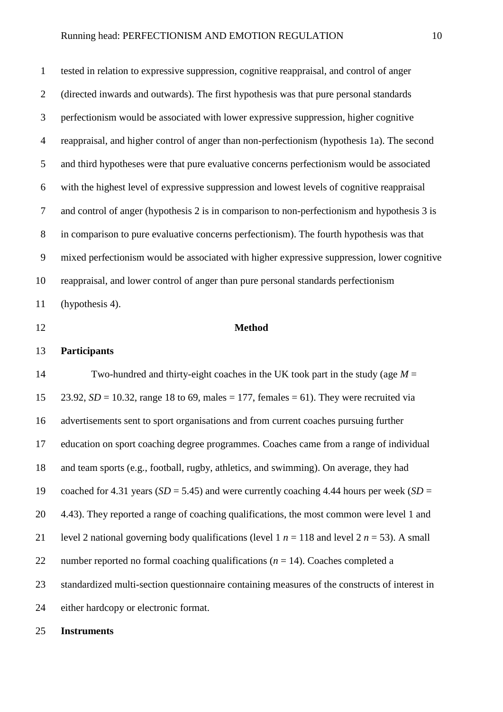tested in relation to expressive suppression, cognitive reappraisal, and control of anger (directed inwards and outwards). The first hypothesis was that pure personal standards perfectionism would be associated with lower expressive suppression, higher cognitive reappraisal, and higher control of anger than non-perfectionism (hypothesis 1a). The second and third hypotheses were that pure evaluative concerns perfectionism would be associated with the highest level of expressive suppression and lowest levels of cognitive reappraisal and control of anger (hypothesis 2 is in comparison to non-perfectionism and hypothesis 3 is in comparison to pure evaluative concerns perfectionism). The fourth hypothesis was that mixed perfectionism would be associated with higher expressive suppression, lower cognitive reappraisal, and lower control of anger than pure personal standards perfectionism (hypothesis 4).

#### **Method**

#### **Participants**

 Two-hundred and thirty-eight coaches in the UK took part in the study (age *M* = 23.92, *SD* = 10.32, range 18 to 69, males = 177, females = 61). They were recruited via advertisements sent to sport organisations and from current coaches pursuing further education on sport coaching degree programmes. Coaches came from a range of individual and team sports (e.g., football, rugby, athletics, and swimming). On average, they had 19 coached for 4.31 years  $(SD = 5.45)$  and were currently coaching 4.44 hours per week  $(SD = 5.45)$  4.43). They reported a range of coaching qualifications, the most common were level 1 and 21 level 2 national governing body qualifications (level 1  $n = 118$  and level 2  $n = 53$ ). A small 22 number reported no formal coaching qualifications  $(n = 14)$ . Coaches completed a standardized multi-section questionnaire containing measures of the constructs of interest in either hardcopy or electronic format.

#### **Instruments**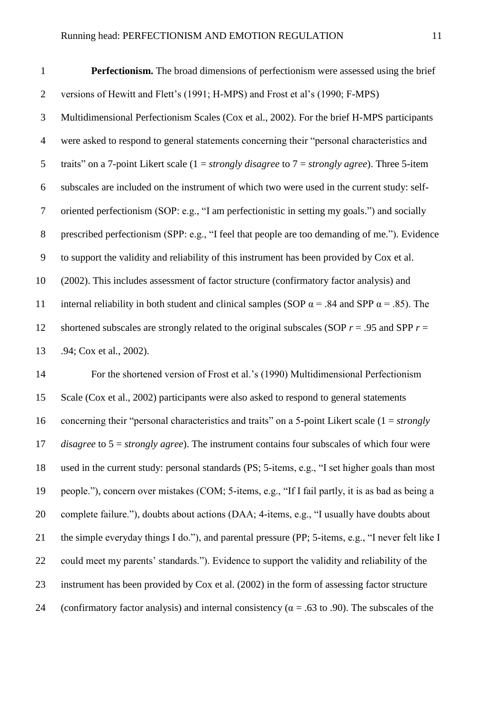| $\mathbf{1}$   | <b>Perfectionism.</b> The broad dimensions of perfectionism were assessed using the brief             |
|----------------|-------------------------------------------------------------------------------------------------------|
| $\overline{2}$ | versions of Hewitt and Flett's (1991; H-MPS) and Frost et al's (1990; F-MPS)                          |
| 3              | Multidimensional Perfectionism Scales (Cox et al., 2002). For the brief H-MPS participants            |
| 4              | were asked to respond to general statements concerning their "personal characteristics and            |
| 5              | traits" on a 7-point Likert scale ( $1 = strongly\ disagree$ to $7 = strongly\ agree$ ). Three 5-item |

subscales are included on the instrument of which two were used in the current study: self-

oriented perfectionism (SOP: e.g., "I am perfectionistic in setting my goals.") and socially

8 prescribed perfectionism (SPP: e.g., "I feel that people are too demanding of me."). Evidence

to support the validity and reliability of this instrument has been provided by Cox et al.

 (2002). This includes assessment of factor structure (confirmatory factor analysis) and 11 internal reliability in both student and clinical samples (SOP  $\alpha$  = .84 and SPP  $\alpha$  = .85). The 12 shortened subscales are strongly related to the original subscales (SOP  $r = .95$  and SPP  $r =$ .94; Cox et al., 2002).

 For the shortened version of Frost et al.'s (1990) Multidimensional Perfectionism Scale (Cox et al., 2002) participants were also asked to respond to general statements concerning their "personal characteristics and traits" on a 5-point Likert scale (1 = *strongly disagree* to 5 = *strongly agree*). The instrument contains four subscales of which four were used in the current study: personal standards (PS; 5-items, e.g., "I set higher goals than most people."), concern over mistakes (COM; 5-items, e.g., "If I fail partly, it is as bad as being a complete failure."), doubts about actions (DAA; 4-items, e.g., "I usually have doubts about the simple everyday things I do."), and parental pressure (PP; 5-items, e.g., "I never felt like I could meet my parents' standards."). Evidence to support the validity and reliability of the instrument has been provided by Cox et al. (2002) in the form of assessing factor structure 24 (confirmatory factor analysis) and internal consistency ( $\alpha$  = .63 to .90). The subscales of the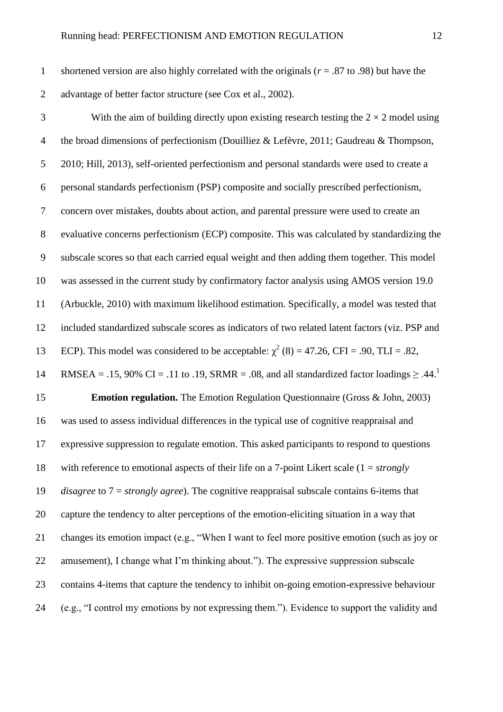shortened version are also highly correlated with the originals (*r* = .87 to .98) but have the advantage of better factor structure (see Cox et al., 2002).

3 With the aim of building directly upon existing research testing the  $2 \times 2$  model using the broad dimensions of perfectionism (Douilliez & Lefèvre, 2011; Gaudreau & Thompson, 2010; Hill, 2013), self-oriented perfectionism and personal standards were used to create a personal standards perfectionism (PSP) composite and socially prescribed perfectionism, concern over mistakes, doubts about action, and parental pressure were used to create an evaluative concerns perfectionism (ECP) composite. This was calculated by standardizing the subscale scores so that each carried equal weight and then adding them together. This model was assessed in the current study by confirmatory factor analysis using AMOS version 19.0 (Arbuckle, 2010) with maximum likelihood estimation. Specifically, a model was tested that included standardized subscale scores as indicators of two related latent factors (viz. PSP and 13 ECP). This model was considered to be acceptable:  $\chi^2$  (8) = 47.26, CFI = .90, TLI = .82, RMSEA = .15, 90% CI = .11 to .19, SRMR = .08, and all standardized factor loadings  $\geq .44$ .<sup>1</sup> **Emotion regulation.** The Emotion Regulation Questionnaire (Gross & John, 2003) was used to assess individual differences in the typical use of cognitive reappraisal and expressive suppression to regulate emotion. This asked participants to respond to questions with reference to emotional aspects of their life on a 7-point Likert scale (1 = *strongly disagree* to 7 = *strongly agree*). The cognitive reappraisal subscale contains 6-items that capture the tendency to alter perceptions of the emotion-eliciting situation in a way that changes its emotion impact (e.g., "When I want to feel more positive emotion (such as joy or amusement), I change what I'm thinking about."). The expressive suppression subscale contains 4-items that capture the tendency to inhibit on-going emotion-expressive behaviour (e.g., "I control my emotions by not expressing them."). Evidence to support the validity and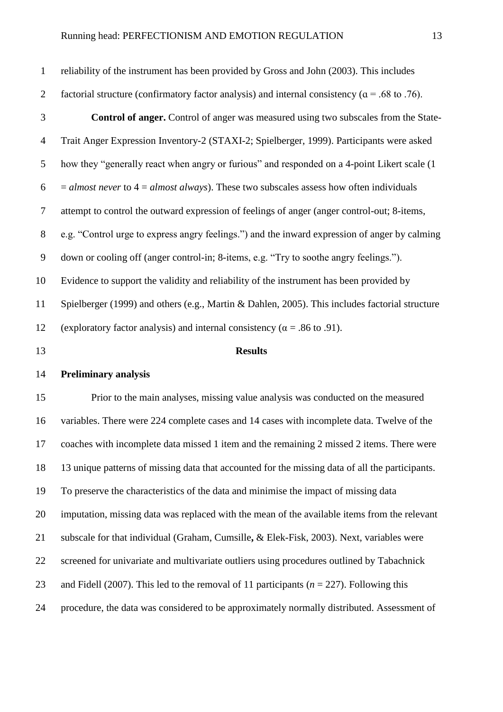| $\mathbf{1}$   | reliability of the instrument has been provided by Gross and John (2003). This includes               |
|----------------|-------------------------------------------------------------------------------------------------------|
| $\overline{2}$ | factorial structure (confirmatory factor analysis) and internal consistency ( $\alpha$ = .68 to .76). |
| 3              | <b>Control of anger.</b> Control of anger was measured using two subscales from the State-            |
| $\overline{4}$ | Trait Anger Expression Inventory-2 (STAXI-2; Spielberger, 1999). Participants were asked              |
| 5              | how they "generally react when angry or furious" and responded on a 4-point Likert scale (1)          |
| 6              | $=$ almost never to $4 =$ almost always). These two subscales assess how often individuals            |
| 7              | attempt to control the outward expression of feelings of anger (anger control-out; 8-items,           |
| 8              | e.g. "Control urge to express angry feelings.") and the inward expression of anger by calming         |
| 9              | down or cooling off (anger control-in; 8-items, e.g. "Try to soothe angry feelings.").                |
| 10             | Evidence to support the validity and reliability of the instrument has been provided by               |
| 11             | Spielberger (1999) and others (e.g., Martin & Dahlen, 2005). This includes factorial structure        |
| 12             | (exploratory factor analysis) and internal consistency ( $\alpha$ = .86 to .91).                      |
| 13             | <b>Results</b>                                                                                        |

## **Preliminary analysis**

 Prior to the main analyses, missing value analysis was conducted on the measured variables. There were 224 complete cases and 14 cases with incomplete data. Twelve of the coaches with incomplete data missed 1 item and the remaining 2 missed 2 items. There were 13 unique patterns of missing data that accounted for the missing data of all the participants. To preserve the characteristics of the data and minimise the impact of missing data imputation, missing data was replaced with the mean of the available items from the relevant subscale for that individual (Graham, Cumsille**,** & Elek-Fisk, 2003). Next, variables were screened for univariate and multivariate outliers using procedures outlined by Tabachnick and Fidell (2007). This led to the removal of 11 participants (*n* = 227). Following this procedure, the data was considered to be approximately normally distributed. Assessment of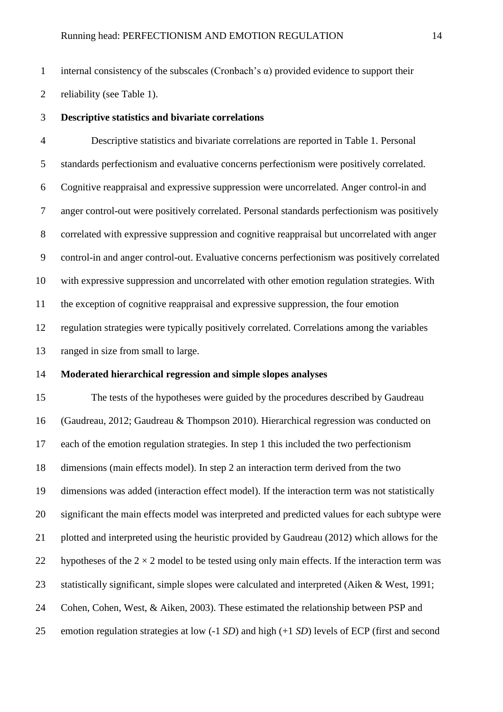1 internal consistency of the subscales (Cronbach's  $\alpha$ ) provided evidence to support their

reliability (see Table 1).

**Descriptive statistics and bivariate correlations**

 Descriptive statistics and bivariate correlations are reported in Table 1. Personal standards perfectionism and evaluative concerns perfectionism were positively correlated. Cognitive reappraisal and expressive suppression were uncorrelated. Anger control-in and anger control-out were positively correlated. Personal standards perfectionism was positively correlated with expressive suppression and cognitive reappraisal but uncorrelated with anger control-in and anger control-out. Evaluative concerns perfectionism was positively correlated with expressive suppression and uncorrelated with other emotion regulation strategies. With the exception of cognitive reappraisal and expressive suppression, the four emotion regulation strategies were typically positively correlated. Correlations among the variables ranged in size from small to large.

#### **Moderated hierarchical regression and simple slopes analyses**

 The tests of the hypotheses were guided by the procedures described by Gaudreau (Gaudreau, 2012; Gaudreau & Thompson 2010). Hierarchical regression was conducted on each of the emotion regulation strategies. In step 1 this included the two perfectionism dimensions (main effects model). In step 2 an interaction term derived from the two dimensions was added (interaction effect model). If the interaction term was not statistically significant the main effects model was interpreted and predicted values for each subtype were plotted and interpreted using the heuristic provided by Gaudreau (2012) which allows for the 22 hypotheses of the  $2 \times 2$  model to be tested using only main effects. If the interaction term was statistically significant, simple slopes were calculated and interpreted (Aiken & West, 1991; Cohen, Cohen, West, & Aiken, 2003). These estimated the relationship between PSP and emotion regulation strategies at low (-1 *SD*) and high (+1 *SD*) levels of ECP (first and second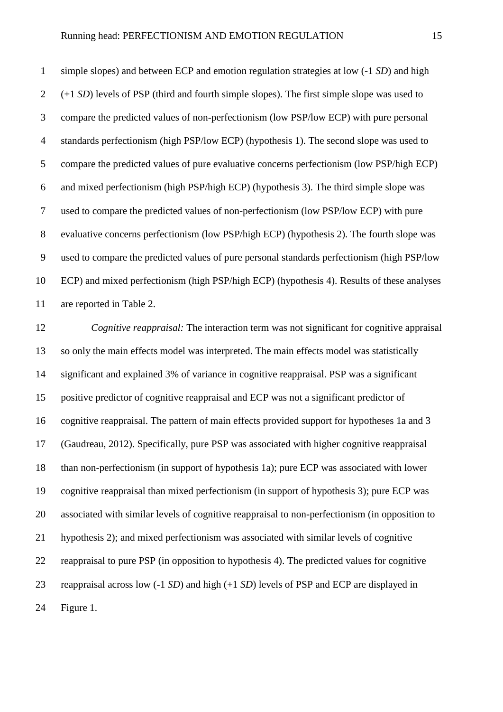simple slopes) and between ECP and emotion regulation strategies at low (-1 *SD*) and high (+1 *SD*) levels of PSP (third and fourth simple slopes). The first simple slope was used to compare the predicted values of non-perfectionism (low PSP/low ECP) with pure personal standards perfectionism (high PSP/low ECP) (hypothesis 1). The second slope was used to compare the predicted values of pure evaluative concerns perfectionism (low PSP/high ECP) and mixed perfectionism (high PSP/high ECP) (hypothesis 3). The third simple slope was used to compare the predicted values of non-perfectionism (low PSP/low ECP) with pure evaluative concerns perfectionism (low PSP/high ECP) (hypothesis 2). The fourth slope was used to compare the predicted values of pure personal standards perfectionism (high PSP/low ECP) and mixed perfectionism (high PSP/high ECP) (hypothesis 4). Results of these analyses are reported in Table 2.

 *Cognitive reappraisal:* The interaction term was not significant for cognitive appraisal so only the main effects model was interpreted. The main effects model was statistically significant and explained 3% of variance in cognitive reappraisal. PSP was a significant positive predictor of cognitive reappraisal and ECP was not a significant predictor of cognitive reappraisal. The pattern of main effects provided support for hypotheses 1a and 3 (Gaudreau, 2012). Specifically, pure PSP was associated with higher cognitive reappraisal than non-perfectionism (in support of hypothesis 1a); pure ECP was associated with lower cognitive reappraisal than mixed perfectionism (in support of hypothesis 3); pure ECP was associated with similar levels of cognitive reappraisal to non-perfectionism (in opposition to hypothesis 2); and mixed perfectionism was associated with similar levels of cognitive reappraisal to pure PSP (in opposition to hypothesis 4). The predicted values for cognitive reappraisal across low (-1 *SD*) and high (+1 *SD*) levels of PSP and ECP are displayed in Figure 1.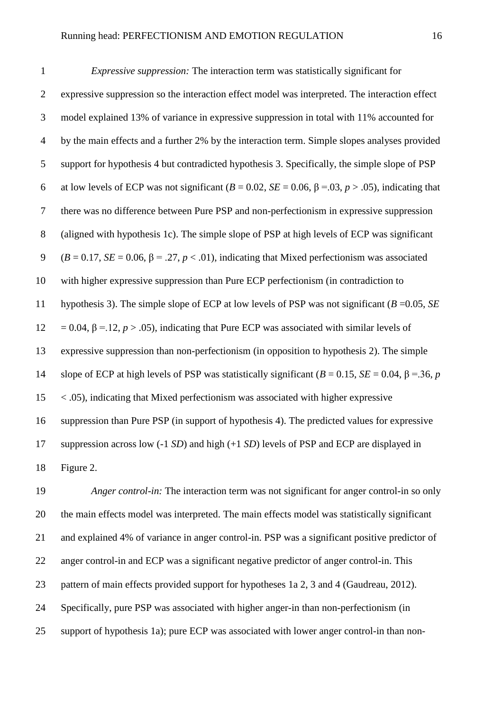| $\mathbf{1}$   | <i>Expressive suppression:</i> The interaction term was statistically significant for                               |
|----------------|---------------------------------------------------------------------------------------------------------------------|
| $\overline{2}$ | expressive suppression so the interaction effect model was interpreted. The interaction effect                      |
| 3              | model explained 13% of variance in expressive suppression in total with 11% accounted for                           |
| $\overline{4}$ | by the main effects and a further 2% by the interaction term. Simple slopes analyses provided                       |
| $\mathfrak{S}$ | support for hypothesis 4 but contradicted hypothesis 3. Specifically, the simple slope of PSP                       |
| 6              | at low levels of ECP was not significant ( $B = 0.02$ , $SE = 0.06$ , $\beta = 0.03$ , $p > .05$ ), indicating that |
| $\tau$         | there was no difference between Pure PSP and non-perfectionism in expressive suppression                            |
| 8              | (aligned with hypothesis 1c). The simple slope of PSP at high levels of ECP was significant                         |
| 9              | $(B = 0.17, SE = 0.06, \beta = .27, p < .01)$ , indicating that Mixed perfectionism was associated                  |
| 10             | with higher expressive suppression than Pure ECP perfectionism (in contradiction to                                 |
| 11             | hypothesis 3). The simple slope of ECP at low levels of PSP was not significant ( $B = 0.05$ , $SE$                 |
| 12             | $= 0.04$ , $\beta = 12$ , $p > 0.05$ ), indicating that Pure ECP was associated with similar levels of              |
| 13             | expressive suppression than non-perfectionism (in opposition to hypothesis 2). The simple                           |
| 14             | slope of ECP at high levels of PSP was statistically significant ( $B = 0.15$ , $SE = 0.04$ , $\beta = 36$ , p      |
| 15             | $\langle .05 \rangle$ , indicating that Mixed perfectionism was associated with higher expressive                   |
| 16             | suppression than Pure PSP (in support of hypothesis 4). The predicted values for expressive                         |
| 17             | suppression across low $(-1 SD)$ and high $(+1 SD)$ levels of PSP and ECP are displayed in                          |
| 18             | Figure 2.                                                                                                           |

 *Anger control-in:* The interaction term was not significant for anger control-in so only the main effects model was interpreted. The main effects model was statistically significant and explained 4% of variance in anger control-in. PSP was a significant positive predictor of anger control-in and ECP was a significant negative predictor of anger control-in. This pattern of main effects provided support for hypotheses 1a 2, 3 and 4 (Gaudreau, 2012). Specifically, pure PSP was associated with higher anger-in than non-perfectionism (in support of hypothesis 1a); pure ECP was associated with lower anger control-in than non-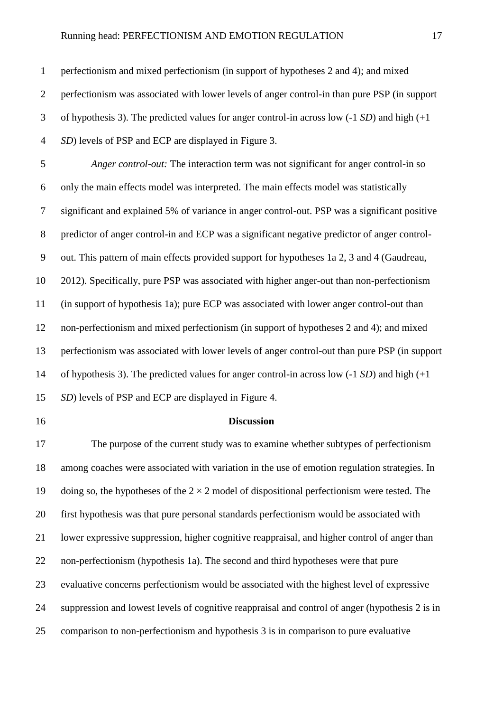perfectionism and mixed perfectionism (in support of hypotheses 2 and 4); and mixed perfectionism was associated with lower levels of anger control-in than pure PSP (in support of hypothesis 3). The predicted values for anger control-in across low (-1 *SD*) and high (+1 *SD*) levels of PSP and ECP are displayed in Figure 3.

 *Anger control-out:* The interaction term was not significant for anger control-in so only the main effects model was interpreted. The main effects model was statistically significant and explained 5% of variance in anger control-out. PSP was a significant positive predictor of anger control-in and ECP was a significant negative predictor of anger control- out. This pattern of main effects provided support for hypotheses 1a 2, 3 and 4 (Gaudreau, 2012). Specifically, pure PSP was associated with higher anger-out than non-perfectionism (in support of hypothesis 1a); pure ECP was associated with lower anger control-out than non-perfectionism and mixed perfectionism (in support of hypotheses 2 and 4); and mixed perfectionism was associated with lower levels of anger control-out than pure PSP (in support of hypothesis 3). The predicted values for anger control-in across low (-1 *SD*) and high (+1 *SD*) levels of PSP and ECP are displayed in Figure 4.

#### **Discussion**

 The purpose of the current study was to examine whether subtypes of perfectionism among coaches were associated with variation in the use of emotion regulation strategies. In 19 doing so, the hypotheses of the  $2 \times 2$  model of dispositional perfectionism were tested. The first hypothesis was that pure personal standards perfectionism would be associated with lower expressive suppression, higher cognitive reappraisal, and higher control of anger than non-perfectionism (hypothesis 1a). The second and third hypotheses were that pure evaluative concerns perfectionism would be associated with the highest level of expressive suppression and lowest levels of cognitive reappraisal and control of anger (hypothesis 2 is in comparison to non-perfectionism and hypothesis 3 is in comparison to pure evaluative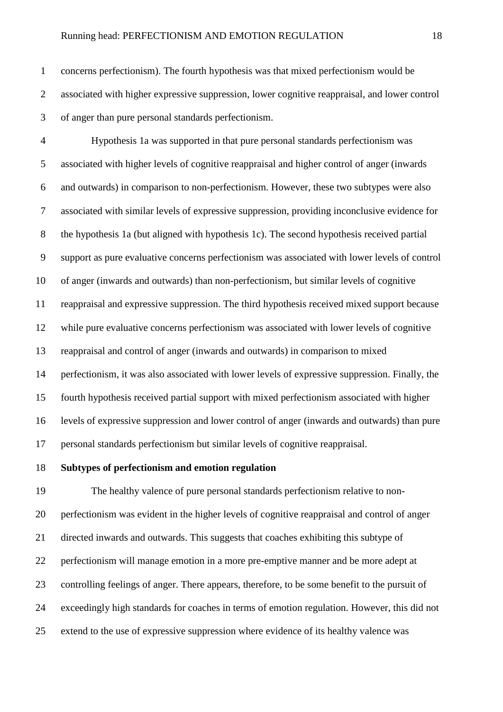concerns perfectionism). The fourth hypothesis was that mixed perfectionism would be associated with higher expressive suppression, lower cognitive reappraisal, and lower control of anger than pure personal standards perfectionism.

 Hypothesis 1a was supported in that pure personal standards perfectionism was associated with higher levels of cognitive reappraisal and higher control of anger (inwards and outwards) in comparison to non-perfectionism. However, these two subtypes were also associated with similar levels of expressive suppression, providing inconclusive evidence for the hypothesis 1a (but aligned with hypothesis 1c). The second hypothesis received partial support as pure evaluative concerns perfectionism was associated with lower levels of control of anger (inwards and outwards) than non-perfectionism, but similar levels of cognitive reappraisal and expressive suppression. The third hypothesis received mixed support because while pure evaluative concerns perfectionism was associated with lower levels of cognitive reappraisal and control of anger (inwards and outwards) in comparison to mixed perfectionism, it was also associated with lower levels of expressive suppression. Finally, the fourth hypothesis received partial support with mixed perfectionism associated with higher levels of expressive suppression and lower control of anger (inwards and outwards) than pure personal standards perfectionism but similar levels of cognitive reappraisal.

**Subtypes of perfectionism and emotion regulation**

 The healthy valence of pure personal standards perfectionism relative to non- perfectionism was evident in the higher levels of cognitive reappraisal and control of anger directed inwards and outwards. This suggests that coaches exhibiting this subtype of perfectionism will manage emotion in a more pre-emptive manner and be more adept at controlling feelings of anger. There appears, therefore, to be some benefit to the pursuit of exceedingly high standards for coaches in terms of emotion regulation. However, this did not extend to the use of expressive suppression where evidence of its healthy valence was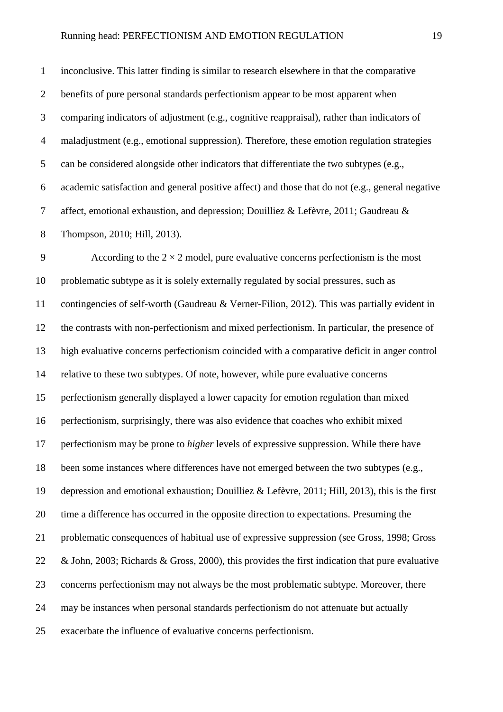inconclusive. This latter finding is similar to research elsewhere in that the comparative benefits of pure personal standards perfectionism appear to be most apparent when comparing indicators of adjustment (e.g., cognitive reappraisal), rather than indicators of maladjustment (e.g., emotional suppression). Therefore, these emotion regulation strategies can be considered alongside other indicators that differentiate the two subtypes (e.g., academic satisfaction and general positive affect) and those that do not (e.g., general negative affect, emotional exhaustion, and depression; Douilliez & Lefèvre, 2011; Gaudreau & Thompson, 2010; Hill, 2013).

9 According to the  $2 \times 2$  model, pure evaluative concerns perfectionism is the most problematic subtype as it is solely externally regulated by social pressures, such as contingencies of self-worth (Gaudreau & Verner-Filion, 2012). This was partially evident in the contrasts with non-perfectionism and mixed perfectionism. In particular, the presence of high evaluative concerns perfectionism coincided with a comparative deficit in anger control relative to these two subtypes. Of note, however, while pure evaluative concerns perfectionism generally displayed a lower capacity for emotion regulation than mixed perfectionism, surprisingly, there was also evidence that coaches who exhibit mixed perfectionism may be prone to *higher* levels of expressive suppression. While there have been some instances where differences have not emerged between the two subtypes (e.g., depression and emotional exhaustion; Douilliez & Lefèvre, 2011; Hill, 2013), this is the first time a difference has occurred in the opposite direction to expectations. Presuming the problematic consequences of habitual use of expressive suppression (see Gross, 1998; Gross & John, 2003; Richards & Gross, 2000), this provides the first indication that pure evaluative concerns perfectionism may not always be the most problematic subtype. Moreover, there may be instances when personal standards perfectionism do not attenuate but actually exacerbate the influence of evaluative concerns perfectionism.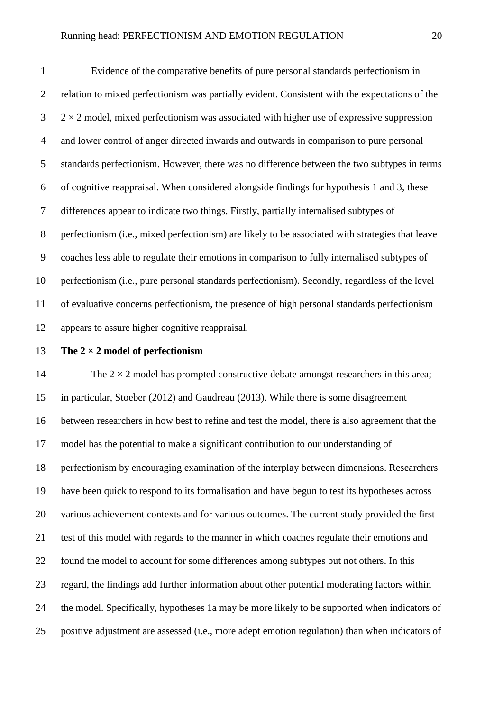Evidence of the comparative benefits of pure personal standards perfectionism in relation to mixed perfectionism was partially evident. Consistent with the expectations of the  $3 \times 2 \times 2$  model, mixed perfectionism was associated with higher use of expressive suppression and lower control of anger directed inwards and outwards in comparison to pure personal standards perfectionism. However, there was no difference between the two subtypes in terms of cognitive reappraisal. When considered alongside findings for hypothesis 1 and 3, these differences appear to indicate two things. Firstly, partially internalised subtypes of perfectionism (i.e., mixed perfectionism) are likely to be associated with strategies that leave coaches less able to regulate their emotions in comparison to fully internalised subtypes of perfectionism (i.e., pure personal standards perfectionism). Secondly, regardless of the level of evaluative concerns perfectionism, the presence of high personal standards perfectionism appears to assure higher cognitive reappraisal.

**The 2 × 2 model of perfectionism**

14 The  $2 \times 2$  model has prompted constructive debate amongst researchers in this area; in particular, Stoeber (2012) and Gaudreau (2013). While there is some disagreement between researchers in how best to refine and test the model, there is also agreement that the model has the potential to make a significant contribution to our understanding of perfectionism by encouraging examination of the interplay between dimensions. Researchers have been quick to respond to its formalisation and have begun to test its hypotheses across 20 various achievement contexts and for various outcomes. The current study provided the first test of this model with regards to the manner in which coaches regulate their emotions and found the model to account for some differences among subtypes but not others. In this regard, the findings add further information about other potential moderating factors within the model. Specifically, hypotheses 1a may be more likely to be supported when indicators of positive adjustment are assessed (i.e., more adept emotion regulation) than when indicators of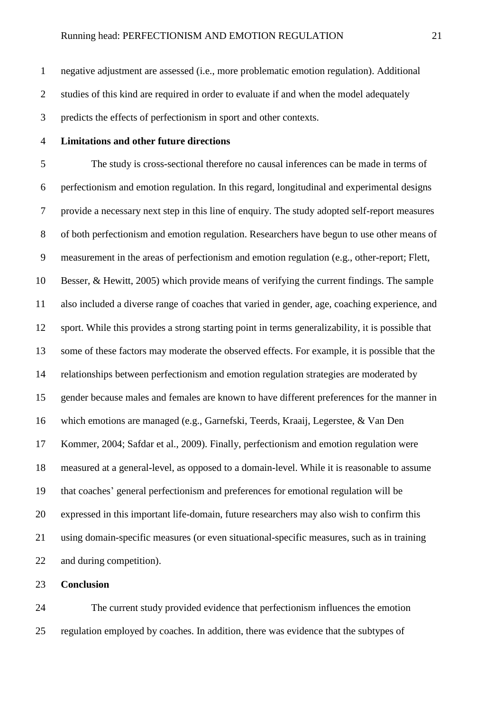negative adjustment are assessed (i.e., more problematic emotion regulation). Additional studies of this kind are required in order to evaluate if and when the model adequately predicts the effects of perfectionism in sport and other contexts.

**Limitations and other future directions** 

 The study is cross-sectional therefore no causal inferences can be made in terms of perfectionism and emotion regulation. In this regard, longitudinal and experimental designs provide a necessary next step in this line of enquiry. The study adopted self-report measures of both perfectionism and emotion regulation. Researchers have begun to use other means of measurement in the areas of perfectionism and emotion regulation (e.g., other-report; [Flett,](http://www.sciencedirect.com/science/article/pii/S0191886913000135#b0020)  [Besser, & Hewitt, 2005\)](http://www.sciencedirect.com/science/article/pii/S0191886913000135#b0020) which provide means of verifying the current findings. The sample also included a diverse range of coaches that varied in gender, age, coaching experience, and sport. While this provides a strong starting point in terms generalizability, it is possible that some of these factors may moderate the observed effects. For example, it is possible that the relationships between perfectionism and emotion regulation strategies are moderated by gender because males and females are known to have different preferences for the manner in which emotions are managed (e.g., Garnefski, Teerds, Kraaij, Legerstee, & Van Den Kommer, 2004; Safdar et al., 2009). Finally, perfectionism and emotion regulation were measured at a general-level, as opposed to a domain-level. While it is reasonable to assume that coaches' general perfectionism and preferences for emotional regulation will be expressed in this important life-domain, future researchers may also wish to confirm this using domain-specific measures (or even situational-specific measures, such as in training and during competition).

**Conclusion**

 The current study provided evidence that perfectionism influences the emotion regulation employed by coaches. In addition, there was evidence that the subtypes of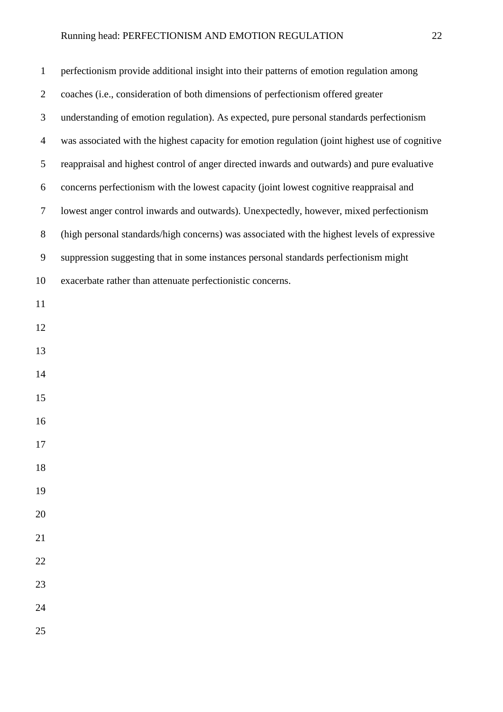| $\mathbf{1}$   | perfectionism provide additional insight into their patterns of emotion regulation among        |
|----------------|-------------------------------------------------------------------------------------------------|
| $\overline{2}$ | coaches (i.e., consideration of both dimensions of perfectionism offered greater                |
| 3              | understanding of emotion regulation). As expected, pure personal standards perfectionism        |
| $\overline{4}$ | was associated with the highest capacity for emotion regulation (joint highest use of cognitive |
| 5              | reappraisal and highest control of anger directed inwards and outwards) and pure evaluative     |
| 6              | concerns perfectionism with the lowest capacity (joint lowest cognitive reappraisal and         |
| 7              | lowest anger control inwards and outwards). Unexpectedly, however, mixed perfectionism          |
| $8\,$          | (high personal standards/high concerns) was associated with the highest levels of expressive    |
| 9              | suppression suggesting that in some instances personal standards perfectionism might            |
| 10             | exacerbate rather than attenuate perfectionistic concerns.                                      |
| 11             |                                                                                                 |
| 12             |                                                                                                 |
| 13             |                                                                                                 |
| 14             |                                                                                                 |
| 15             |                                                                                                 |
| 16             |                                                                                                 |
| 17             |                                                                                                 |
| 18             |                                                                                                 |
| 19             |                                                                                                 |
| 20             |                                                                                                 |
| 21             |                                                                                                 |
| 22             |                                                                                                 |
| 23             |                                                                                                 |
| 24             |                                                                                                 |
| 25             |                                                                                                 |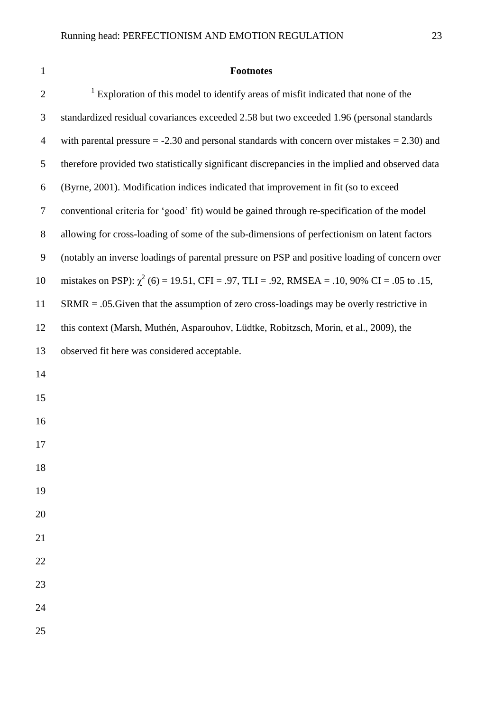## **Footnotes**

| $\mathbf{2}$     | <sup>1</sup> Exploration of this model to identify areas of misfit indicated that none of the     |
|------------------|---------------------------------------------------------------------------------------------------|
| 3                | standardized residual covariances exceeded 2.58 but two exceeded 1.96 (personal standards         |
| $\overline{4}$   | with parental pressure $= -2.30$ and personal standards with concern over mistakes $= 2.30$ ) and |
| 5                | therefore provided two statistically significant discrepancies in the implied and observed data   |
| 6                | (Byrne, 2001). Modification indices indicated that improvement in fit (so to exceed               |
| $\tau$           | conventional criteria for 'good' fit) would be gained through re-specification of the model       |
| $8\,$            | allowing for cross-loading of some of the sub-dimensions of perfectionism on latent factors       |
| $\boldsymbol{9}$ | (notably an inverse loadings of parental pressure on PSP and positive loading of concern over     |
| 10               | mistakes on PSP): $\chi^2$ (6) = 19.51, CFI = .97, TLI = .92, RMSEA = .10, 90% CI = .05 to .15,   |
| 11               | $SRMR = .05$ . Given that the assumption of zero cross-loadings may be overly restrictive in      |
| 12               | this context (Marsh, Muthén, Asparouhov, Lüdtke, Robitzsch, Morin, et al., 2009), the             |
| 13               | observed fit here was considered acceptable.                                                      |
| 14               |                                                                                                   |
| 15               |                                                                                                   |
| 16               |                                                                                                   |
| 17               |                                                                                                   |
| 18               |                                                                                                   |
| 19               |                                                                                                   |
| 20               |                                                                                                   |
| 21               |                                                                                                   |
| 22               |                                                                                                   |
| 23               |                                                                                                   |
| 24               |                                                                                                   |
| 25               |                                                                                                   |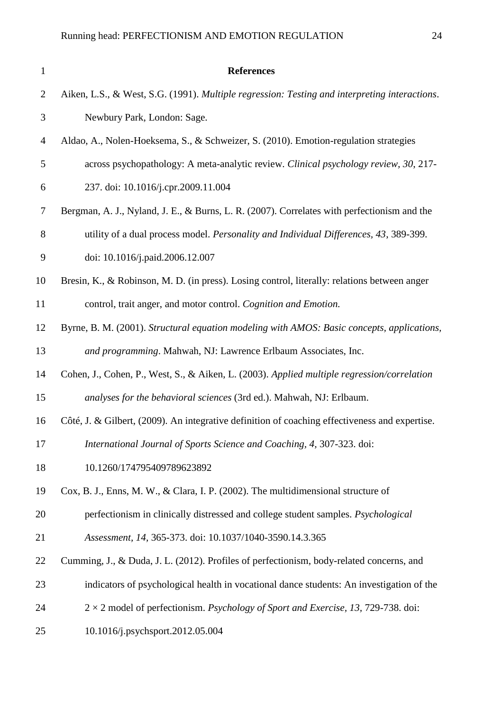| $\mathbf{1}$   | <b>References</b>                                                                              |
|----------------|------------------------------------------------------------------------------------------------|
| $\overline{2}$ | Aiken, L.S., & West, S.G. (1991). Multiple regression: Testing and interpreting interactions.  |
| 3              | Newbury Park, London: Sage.                                                                    |
| $\overline{4}$ | Aldao, A., Nolen-Hoeksema, S., & Schweizer, S. (2010). Emotion-regulation strategies           |
| 5              | across psychopathology: A meta-analytic review. Clinical psychology review, 30, 217-           |
| 6              | 237. doi: 10.1016/j.cpr.2009.11.004                                                            |
| 7              | Bergman, A. J., Nyland, J. E., & Burns, L. R. (2007). Correlates with perfectionism and the    |
| 8              | utility of a dual process model. Personality and Individual Differences, 43, 389-399.          |
| 9              | doi: 10.1016/j.paid.2006.12.007                                                                |
| 10             | Bresin, K., & Robinson, M. D. (in press). Losing control, literally: relations between anger   |
| 11             | control, trait anger, and motor control. Cognition and Emotion.                                |
| 12             | Byrne, B. M. (2001). Structural equation modeling with AMOS: Basic concepts, applications,     |
| 13             | and programming. Mahwah, NJ: Lawrence Erlbaum Associates, Inc.                                 |
| 14             | Cohen, J., Cohen, P., West, S., & Aiken, L. (2003). Applied multiple regression/correlation    |
| 15             | analyses for the behavioral sciences (3rd ed.). Mahwah, NJ: Erlbaum.                           |
| 16             | Côté, J. & Gilbert, (2009). An integrative definition of coaching effectiveness and expertise. |
| 17             | International Journal of Sports Science and Coaching, 4, 307-323. doi:                         |
| 18             | 10.1260/174795409789623892                                                                     |
| 19             | Cox, B. J., Enns, M. W., & Clara, I. P. (2002). The multidimensional structure of              |
| 20             | perfectionism in clinically distressed and college student samples. Psychological              |
| 21             | Assessment, 14, 365-373. doi: 10.1037/1040-3590.14.3.365                                       |
| 22             | Cumming, J., & Duda, J. L. (2012). Profiles of perfectionism, body-related concerns, and       |
| 23             | indicators of psychological health in vocational dance students: An investigation of the       |
| 24             | $2 \times 2$ model of perfectionism. Psychology of Sport and Exercise, 13, 729-738. doi:       |
| 25             | 10.1016/j.psychsport.2012.05.004                                                               |
|                |                                                                                                |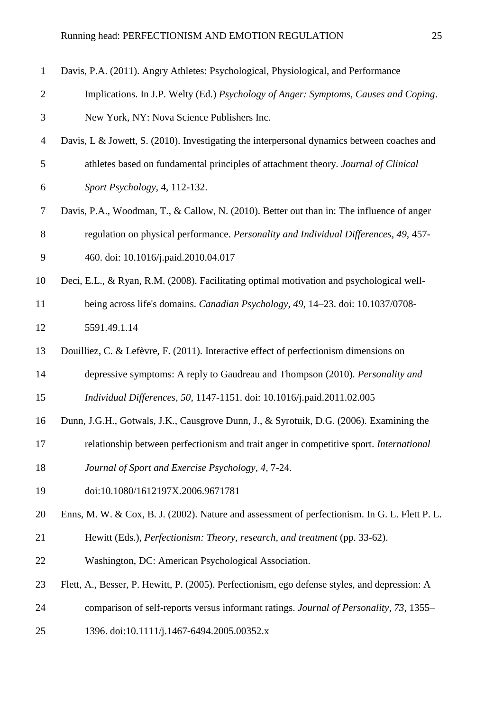| $\mathbf{1}$   | Davis, P.A. (2011). Angry Athletes: Psychological, Physiological, and Performance             |
|----------------|-----------------------------------------------------------------------------------------------|
| $\mathbf{2}$   | Implications. In J.P. Welty (Ed.) Psychology of Anger: Symptoms, Causes and Coping.           |
| 3              | New York, NY: Nova Science Publishers Inc.                                                    |
| $\overline{4}$ | Davis, L & Jowett, S. (2010). Investigating the interpersonal dynamics between coaches and    |
| 5              | athletes based on fundamental principles of attachment theory. Journal of Clinical            |
| 6              | Sport Psychology, 4, 112-132.                                                                 |
| $\tau$         | Davis, P.A., Woodman, T., & Callow, N. (2010). Better out than in: The influence of anger     |
| 8              | regulation on physical performance. Personality and Individual Differences, 49, 457-          |
| 9              | 460. doi: 10.1016/j.paid.2010.04.017                                                          |
| 10             | Deci, E.L., & Ryan, R.M. (2008). Facilitating optimal motivation and psychological well-      |
| 11             | being across life's domains. Canadian Psychology, 49, 14–23. doi: 10.1037/0708-               |
| 12             | 5591.49.1.14                                                                                  |
| 13             | Douilliez, C. & Lefèvre, F. (2011). Interactive effect of perfectionism dimensions on         |
| 14             | depressive symptoms: A reply to Gaudreau and Thompson (2010). Personality and                 |
| 15             | Individual Differences, 50, 1147-1151. doi: 10.1016/j.paid.2011.02.005                        |
| 16             | Dunn, J.G.H., Gotwals, J.K., Causgrove Dunn, J., & Syrotuik, D.G. (2006). Examining the       |
| 17             | relationship between perfectionism and trait anger in competitive sport. International        |
| 18             | Journal of Sport and Exercise Psychology, 4, 7-24.                                            |
| 19             | doi:10.1080/1612197X.2006.9671781                                                             |
| 20             | Enns, M. W. & Cox, B. J. (2002). Nature and assessment of perfectionism. In G. L. Flett P. L. |
| 21             | Hewitt (Eds.), Perfectionism: Theory, research, and treatment (pp. 33-62).                    |
| 22             | Washington, DC: American Psychological Association.                                           |
| 23             | Flett, A., Besser, P. Hewitt, P. (2005). Perfectionism, ego defense styles, and depression: A |
| 24             | comparison of self-reports versus informant ratings. Journal of Personality, 73, 1355–        |
| 25             | 1396. doi:10.1111/j.1467-6494.2005.00352.x                                                    |
|                |                                                                                               |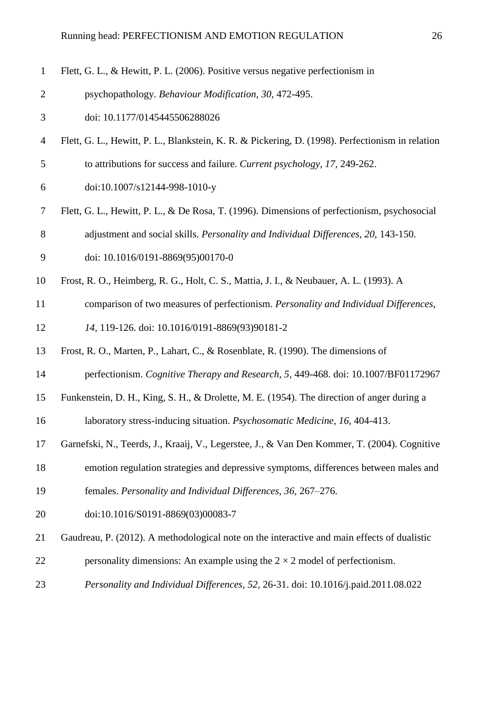| 1              | Flett, G. L., & Hewitt, P. L. (2006). Positive versus negative perfectionism in                  |
|----------------|--------------------------------------------------------------------------------------------------|
| $\overline{2}$ | psychopathology. Behaviour Modification, 30, 472-495.                                            |
| 3              | doi: 10.1177/0145445506288026                                                                    |
| $\overline{4}$ | Flett, G. L., Hewitt, P. L., Blankstein, K. R. & Pickering, D. (1998). Perfectionism in relation |
| $\mathfrak{S}$ | to attributions for success and failure. Current psychology, 17, 249-262.                        |
| 6              | doi:10.1007/s12144-998-1010-y                                                                    |
| $\overline{7}$ | Flett, G. L., Hewitt, P. L., & De Rosa, T. (1996). Dimensions of perfectionism, psychosocial     |
| $8\,$          | adjustment and social skills. Personality and Individual Differences, 20, 143-150.               |
| 9              | doi: 10.1016/0191-8869(95)00170-0                                                                |
| 10             | Frost, R. O., Heimberg, R. G., Holt, C. S., Mattia, J. I., & Neubauer, A. L. (1993). A           |
| 11             | comparison of two measures of perfectionism. Personality and Individual Differences,             |
| 12             | 14, 119-126. doi: 10.1016/0191-8869(93)90181-2                                                   |
| 13             | Frost, R. O., Marten, P., Lahart, C., & Rosenblate, R. (1990). The dimensions of                 |
| 14             | perfectionism. Cognitive Therapy and Research, 5, 449-468. doi: 10.1007/BF01172967               |
| 15             | Funkenstein, D. H., King, S. H., & Drolette, M. E. (1954). The direction of anger during a       |
| 16             | laboratory stress-inducing situation. Psychosomatic Medicine, 16, 404-413.                       |
| 17             | Garnefski, N., Teerds, J., Kraaij, V., Legerstee, J., & Van Den Kommer, T. (2004). Cognitive     |
| 18             | emotion regulation strategies and depressive symptoms, differences between males and             |
| 19             | females. Personality and Individual Differences, 36, 267-276.                                    |
| 20             | doi:10.1016/S0191-8869(03)00083-7                                                                |
| 21             | Gaudreau, P. (2012). A methodological note on the interactive and main effects of dualistic      |
| 22             | personality dimensions: An example using the $2 \times 2$ model of perfectionism.                |
| 23             | Personality and Individual Differences, 52, 26-31. doi: 10.1016/j.paid.2011.08.022               |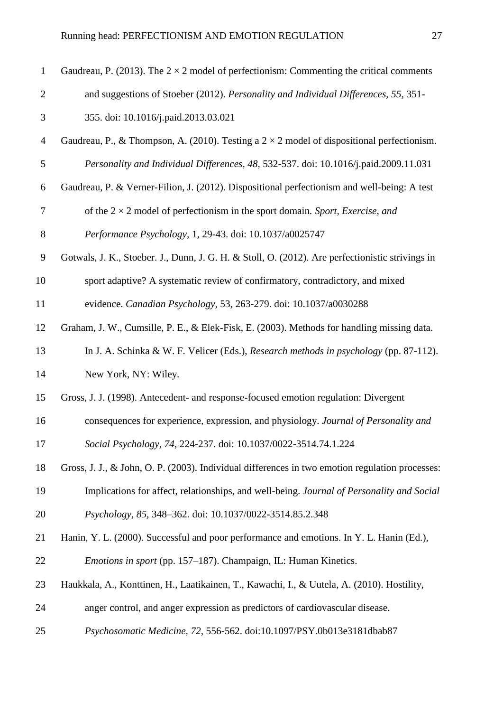| $\mathbf{1}$   | Gaudreau, P. (2013). The $2 \times 2$ model of perfectionism: Commenting the critical comments    |
|----------------|---------------------------------------------------------------------------------------------------|
| $\overline{2}$ | and suggestions of Stoeber (2012). Personality and Individual Differences, 55, 351-               |
| 3              | 355. doi: 10.1016/j.paid.2013.03.021                                                              |
| $\overline{4}$ | Gaudreau, P., & Thompson, A. (2010). Testing a $2 \times 2$ model of dispositional perfectionism. |
| 5              | Personality and Individual Differences, 48, 532-537. doi: 10.1016/j.paid.2009.11.031              |
| 6              | Gaudreau, P. & Verner-Filion, J. (2012). Dispositional perfectionism and well-being: A test       |
| $\tau$         | of the $2 \times 2$ model of perfectionism in the sport domain. Sport, Exercise, and              |
| $8\,$          | Performance Psychology, 1, 29-43. doi: 10.1037/a0025747                                           |
| $\mathbf{9}$   | Gotwals, J. K., Stoeber. J., Dunn, J. G. H. & Stoll, O. (2012). Are perfectionistic strivings in  |
| 10             | sport adaptive? A systematic review of confirmatory, contradictory, and mixed                     |
| 11             | evidence. Canadian Psychology, 53, 263-279. doi: 10.1037/a0030288                                 |
| 12             | Graham, J. W., Cumsille, P. E., & Elek-Fisk, E. (2003). Methods for handling missing data.        |
| 13             | In J. A. Schinka & W. F. Velicer (Eds.), Research methods in psychology (pp. 87-112).             |
| 14             | New York, NY: Wiley.                                                                              |
| 15             | Gross, J. J. (1998). Antecedent- and response-focused emotion regulation: Divergent               |
| 16             | consequences for experience, expression, and physiology. Journal of Personality and               |
| 17             | Social Psychology, 74, 224-237. doi: 10.1037/0022-3514.74.1.224                                   |
| 18             | Gross, J. J., & John, O. P. (2003). Individual differences in two emotion regulation processes:   |
| 19             | Implications for affect, relationships, and well-being. Journal of Personality and Social         |
| 20             | Psychology, 85, 348-362. doi: 10.1037/0022-3514.85.2.348                                          |
| 21             | Hanin, Y. L. (2000). Successful and poor performance and emotions. In Y. L. Hanin (Ed.),          |
| 22             | <i>Emotions in sport</i> (pp. 157–187). Champaign, IL: Human Kinetics.                            |
| 23             | Haukkala, A., Konttinen, H., Laatikainen, T., Kawachi, I., & Uutela, A. (2010). Hostility,        |
| 24             | anger control, and anger expression as predictors of cardiovascular disease.                      |
| 25             | Psychosomatic Medicine, 72, 556-562. doi:10.1097/PSY.0b013e3181dbab87                             |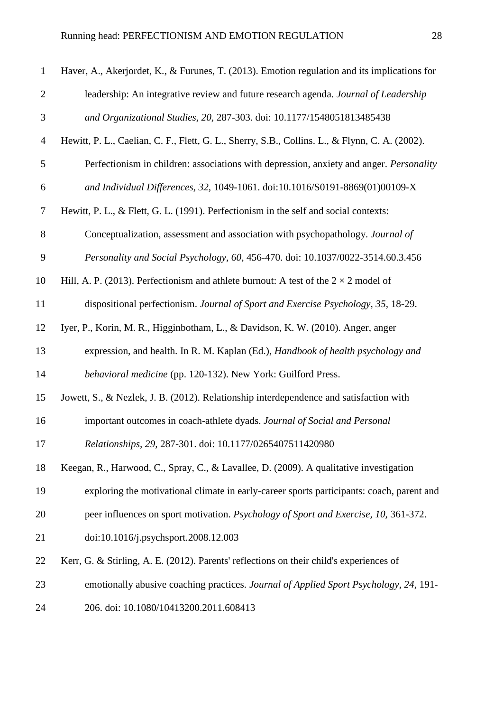| $\mathbf{1}$   | Haver, A., Akerjordet, K., & Furunes, T. (2013). Emotion regulation and its implications for   |
|----------------|------------------------------------------------------------------------------------------------|
| $\overline{2}$ | leadership: An integrative review and future research agenda. Journal of Leadership            |
| $\mathfrak{Z}$ | and Organizational Studies, 20, 287-303. doi: 10.1177/1548051813485438                         |
| $\overline{4}$ | Hewitt, P. L., Caelian, C. F., Flett, G. L., Sherry, S.B., Collins. L., & Flynn, C. A. (2002). |
| $\mathfrak{S}$ | Perfectionism in children: associations with depression, anxiety and anger. <i>Personality</i> |
| 6              | and Individual Differences, 32, 1049-1061. doi:10.1016/S0191-8869(01)00109-X                   |
| $\overline{7}$ | Hewitt, P. L., & Flett, G. L. (1991). Perfectionism in the self and social contexts:           |
| 8              | Conceptualization, assessment and association with psychopathology. Journal of                 |
| 9              | Personality and Social Psychology, 60, 456-470. doi: 10.1037/0022-3514.60.3.456                |
| 10             | Hill, A. P. (2013). Perfectionism and athlete burnout: A test of the $2 \times 2$ model of     |
| 11             | dispositional perfectionism. Journal of Sport and Exercise Psychology, 35, 18-29.              |
| 12             | Iyer, P., Korin, M. R., Higginbotham, L., & Davidson, K. W. (2010). Anger, anger               |
| 13             | expression, and health. In R. M. Kaplan (Ed.), Handbook of health psychology and               |
| 14             | behavioral medicine (pp. 120-132). New York: Guilford Press.                                   |
| 15             | Jowett, S., & Nezlek, J. B. (2012). Relationship interdependence and satisfaction with         |
| 16             | important outcomes in coach-athlete dyads. Journal of Social and Personal                      |
| 17             | Relationships, 29, 287-301. doi: 10.1177/0265407511420980                                      |
| 18             | Keegan, R., Harwood, C., Spray, C., & Lavallee, D. (2009). A qualitative investigation         |
| 19             | exploring the motivational climate in early-career sports participants: coach, parent and      |
| 20             | peer influences on sport motivation. Psychology of Sport and Exercise, 10, 361-372.            |
| 21             | doi:10.1016/j.psychsport.2008.12.003                                                           |
| 22             | Kerr, G. & Stirling, A. E. (2012). Parents' reflections on their child's experiences of        |
| 23             | emotionally abusive coaching practices. Journal of Applied Sport Psychology, 24, 191-          |
| 24             | 206. doi: 10.1080/10413200.2011.608413                                                         |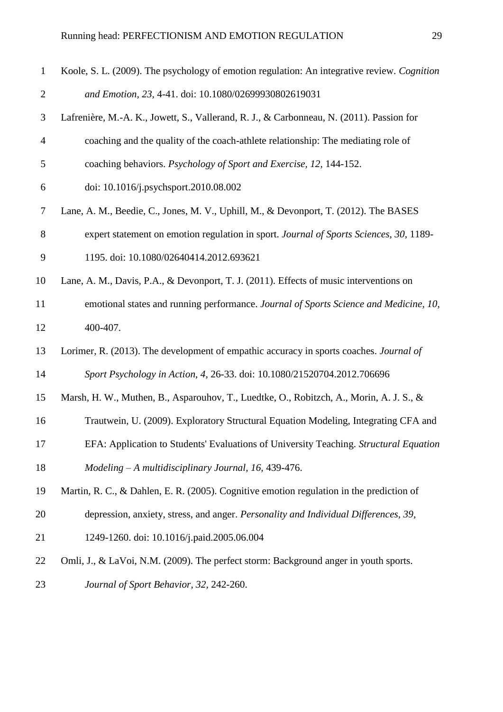| $\mathbf{1}$   | Koole, S. L. (2009). The psychology of emotion regulation: An integrative review. Cognition |
|----------------|---------------------------------------------------------------------------------------------|
| $\overline{2}$ | and Emotion, 23, 4-41. doi: 10.1080/02699930802619031                                       |
| 3              | Lafrenière, M.-A. K., Jowett, S., Vallerand, R. J., & Carbonneau, N. (2011). Passion for    |
| $\overline{4}$ | coaching and the quality of the coach-athlete relationship: The mediating role of           |
| 5              | coaching behaviors. Psychology of Sport and Exercise, 12, 144-152.                          |
| 6              | doi: 10.1016/j.psychsport.2010.08.002                                                       |
| $\tau$         | Lane, A. M., Beedie, C., Jones, M. V., Uphill, M., & Devonport, T. (2012). The BASES        |
| $8\,$          | expert statement on emotion regulation in sport. Journal of Sports Sciences, 30, 1189-      |
| 9              | 1195. doi: 10.1080/02640414.2012.693621                                                     |
| 10             | Lane, A. M., Davis, P.A., & Devonport, T. J. (2011). Effects of music interventions on      |
| 11             | emotional states and running performance. Journal of Sports Science and Medicine, 10,       |
| 12             | 400-407.                                                                                    |
| 13             | Lorimer, R. (2013). The development of empathic accuracy in sports coaches. Journal of      |
| 14             | Sport Psychology in Action, 4, 26-33. doi: 10.1080/21520704.2012.706696                     |
| 15             | Marsh, H. W., Muthen, B., Asparouhov, T., Luedtke, O., Robitzch, A., Morin, A. J. S., &     |
| 16             | Trautwein, U. (2009). Exploratory Structural Equation Modeling, Integrating CFA and         |
| 17             | EFA: Application to Students' Evaluations of University Teaching. Structural Equation       |
| 18             | $Modeling - A$ multidisciplinary Journal, 16, 439-476.                                      |
| 19             | Martin, R. C., & Dahlen, E. R. (2005). Cognitive emotion regulation in the prediction of    |
| 20             | depression, anxiety, stress, and anger. Personality and Individual Differences, 39,         |
| 21             | 1249-1260. doi: 10.1016/j.paid.2005.06.004                                                  |
| 22             | Omli, J., & LaVoi, N.M. (2009). The perfect storm: Background anger in youth sports.        |
| 23             | Journal of Sport Behavior, 32, 242-260.                                                     |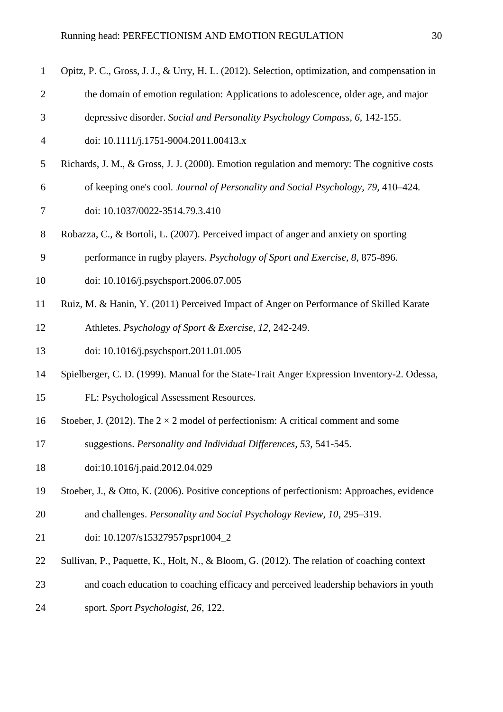| $\mathbf{1}$   | Opitz, P. C., Gross, J. J., & Urry, H. L. (2012). Selection, optimization, and compensation in |
|----------------|------------------------------------------------------------------------------------------------|
| $\overline{2}$ | the domain of emotion regulation: Applications to adolescence, older age, and major            |
| 3              | depressive disorder. Social and Personality Psychology Compass, 6, 142-155.                    |
| $\overline{4}$ | doi: 10.1111/j.1751-9004.2011.00413.x                                                          |
| 5              | Richards, J. M., & Gross, J. J. (2000). Emotion regulation and memory: The cognitive costs     |
| 6              | of keeping one's cool. Journal of Personality and Social Psychology, 79, 410-424.              |
| 7              | doi: 10.1037/0022-3514.79.3.410                                                                |
| $8\phantom{.}$ | Robazza, C., & Bortoli, L. (2007). Perceived impact of anger and anxiety on sporting           |
| 9              | performance in rugby players. Psychology of Sport and Exercise, 8, 875-896.                    |
| 10             | doi: 10.1016/j.psychsport.2006.07.005                                                          |
| 11             | Ruiz, M. & Hanin, Y. (2011) Perceived Impact of Anger on Performance of Skilled Karate         |
| 12             | Athletes. Psychology of Sport & Exercise, 12, 242-249.                                         |
| 13             | doi: 10.1016/j.psychsport.2011.01.005                                                          |
| 14             | Spielberger, C. D. (1999). Manual for the State-Trait Anger Expression Inventory-2. Odessa,    |
| 15             | FL: Psychological Assessment Resources.                                                        |
| 16             | Stoeber, J. (2012). The $2 \times 2$ model of perfectionism: A critical comment and some       |
| 17             | suggestions. Personality and Individual Differences, 53, 541-545.                              |
| 18             | doi:10.1016/j.paid.2012.04.029                                                                 |
| 19             | Stoeber, J., & Otto, K. (2006). Positive conceptions of perfectionism: Approaches, evidence    |
| 20             | and challenges. Personality and Social Psychology Review, 10, 295–319.                         |
| 21             | doi: 10.1207/s15327957pspr1004_2                                                               |
| 22             | Sullivan, P., Paquette, K., Holt, N., & Bloom, G. (2012). The relation of coaching context     |
| 23             | and coach education to coaching efficacy and perceived leadership behaviors in youth           |
| 24             | sport. Sport Psychologist, 26, 122.                                                            |
|                |                                                                                                |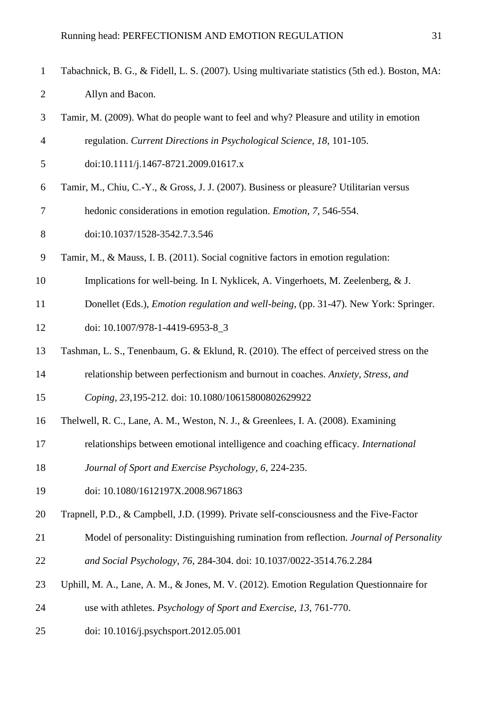| $\mathbf{1}$   | Tabachnick, B. G., & Fidell, L. S. (2007). Using multivariate statistics (5th ed.). Boston, MA: |
|----------------|-------------------------------------------------------------------------------------------------|
| $\overline{2}$ | Allyn and Bacon.                                                                                |
| 3              | Tamir, M. (2009). What do people want to feel and why? Pleasure and utility in emotion          |
| $\overline{4}$ | regulation. Current Directions in Psychological Science, 18, 101-105.                           |
| 5              | doi:10.1111/j.1467-8721.2009.01617.x                                                            |
| 6              | Tamir, M., Chiu, C.-Y., & Gross, J. J. (2007). Business or pleasure? Utilitarian versus         |
| 7              | hedonic considerations in emotion regulation. <i>Emotion</i> , 7, 546-554.                      |
| 8              | doi:10.1037/1528-3542.7.3.546                                                                   |
| 9              | Tamir, M., & Mauss, I. B. (2011). Social cognitive factors in emotion regulation:               |
| 10             | Implications for well-being. In I. Nyklicek, A. Vingerhoets, M. Zeelenberg, & J.                |
| 11             | Donellet (Eds.), <i>Emotion regulation and well-being</i> , (pp. 31-47). New York: Springer.    |
| 12             | doi: 10.1007/978-1-4419-6953-8_3                                                                |
| 13             | Tashman, L. S., Tenenbaum, G. & Eklund, R. (2010). The effect of perceived stress on the        |
| 14             | relationship between perfectionism and burnout in coaches. Anxiety, Stress, and                 |
| 15             | Coping, 23,195-212. doi: 10.1080/10615800802629922                                              |
| 16             | Thelwell, R. C., Lane, A. M., Weston, N. J., & Greenlees, I. A. (2008). Examining               |
| 17             | relationships between emotional intelligence and coaching efficacy. International               |
| 18             | Journal of Sport and Exercise Psychology, 6, 224-235.                                           |
| 19             | doi: 10.1080/1612197X.2008.9671863                                                              |
| 20             | Trapnell, P.D., & Campbell, J.D. (1999). Private self-consciousness and the Five-Factor         |
| 21             | Model of personality: Distinguishing rumination from reflection. Journal of Personality         |
| 22             | and Social Psychology, 76, 284-304. doi: 10.1037/0022-3514.76.2.284                             |
| 23             | Uphill, M. A., Lane, A. M., & Jones, M. V. (2012). Emotion Regulation Questionnaire for         |
| 24             | use with athletes. Psychology of Sport and Exercise, 13, 761-770.                               |
| 25             | doi: 10.1016/j.psychsport.2012.05.001                                                           |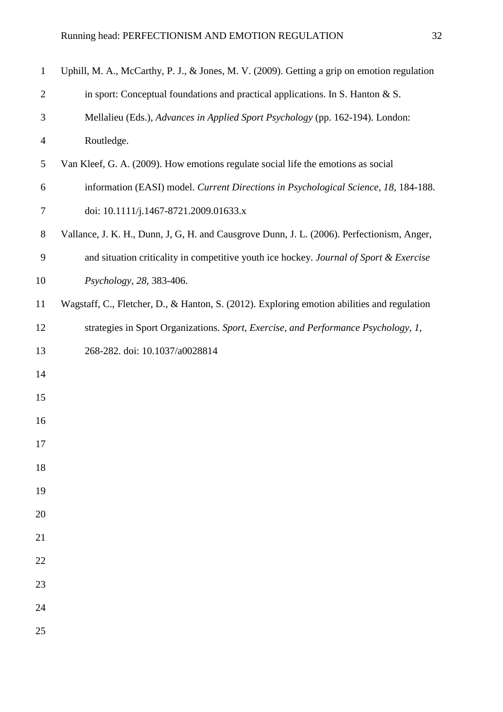| $\mathbf{1}$   | Uphill, M. A., McCarthy, P. J., & Jones, M. V. (2009). Getting a grip on emotion regulation |
|----------------|---------------------------------------------------------------------------------------------|
| $\overline{2}$ | in sport: Conceptual foundations and practical applications. In S. Hanton & S.              |
| 3              | Mellalieu (Eds.), Advances in Applied Sport Psychology (pp. 162-194). London:               |
| $\overline{4}$ | Routledge.                                                                                  |
| 5              | Van Kleef, G. A. (2009). How emotions regulate social life the emotions as social           |
| 6              | information (EASI) model. Current Directions in Psychological Science, 18, 184-188.         |
| 7              | doi: 10.1111/j.1467-8721.2009.01633.x                                                       |
| $8\,$          | Vallance, J. K. H., Dunn, J, G, H. and Causgrove Dunn, J. L. (2006). Perfectionism, Anger,  |
| 9              | and situation criticality in competitive youth ice hockey. Journal of Sport & Exercise      |
| 10             | Psychology, 28, 383-406.                                                                    |
| 11             | Wagstaff, C., Fletcher, D., & Hanton, S. (2012). Exploring emotion abilities and regulation |
| 12             | strategies in Sport Organizations. Sport, Exercise, and Performance Psychology, 1,          |
| 13             | 268-282. doi: 10.1037/a0028814                                                              |
| 14             |                                                                                             |
| 15             |                                                                                             |
| 16             |                                                                                             |
| 17             |                                                                                             |
| 18             |                                                                                             |
| 19             |                                                                                             |
| 20             |                                                                                             |
| 21             |                                                                                             |
| 22             |                                                                                             |
| 23             |                                                                                             |
| 24             |                                                                                             |
| 25             |                                                                                             |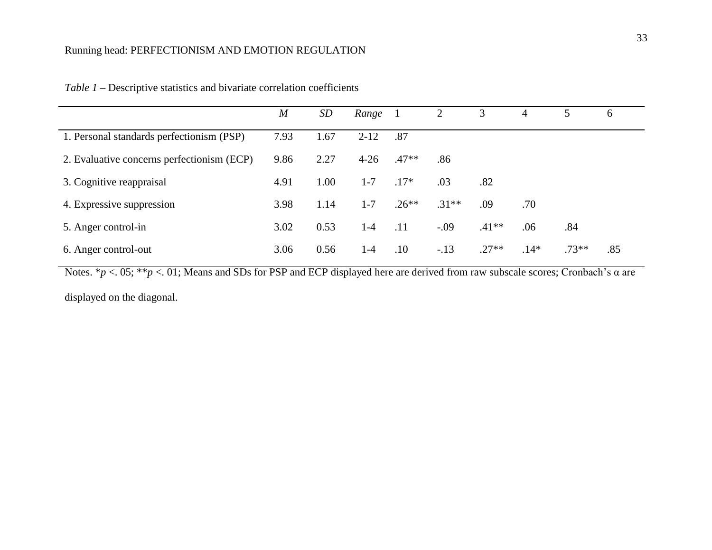|                                            | $\boldsymbol{M}$ | SD   | Range    |         | 2       | 3       | 4      |         | 6   |
|--------------------------------------------|------------------|------|----------|---------|---------|---------|--------|---------|-----|
| 1. Personal standards perfectionism (PSP)  |                  | 1.67 | $2 - 12$ | .87     |         |         |        |         |     |
| 2. Evaluative concerns perfectionism (ECP) | 9.86             | 2.27 | $4 - 26$ | $.47**$ | .86     |         |        |         |     |
| 3. Cognitive reappraisal                   | 4.91             | 1.00 | $1 - 7$  | $.17*$  | .03     | .82     |        |         |     |
| 4. Expressive suppression                  | 3.98             | 1.14 | $1 - 7$  | $.26**$ | $.31**$ | .09     | .70    |         |     |
| 5. Anger control-in                        | 3.02             | 0.53 | $1 - 4$  | .11     | $-.09$  | $.41**$ | .06    | .84     |     |
| 6. Anger control-out                       | 3.06             | 0.56 | 1-4      | .10     | $-.13$  | $.27**$ | $.14*$ | $.73**$ | .85 |

| <i>Table 1</i> – Descriptive statistics and bivariate correlation coefficients |  |  |  |  |
|--------------------------------------------------------------------------------|--|--|--|--|
|--------------------------------------------------------------------------------|--|--|--|--|

Notes. \**p* <. 05; \*\**p* <. 01; Means and SDs for PSP and ECP displayed here are derived from raw subscale scores; Cronbach's α are displayed on the diagonal.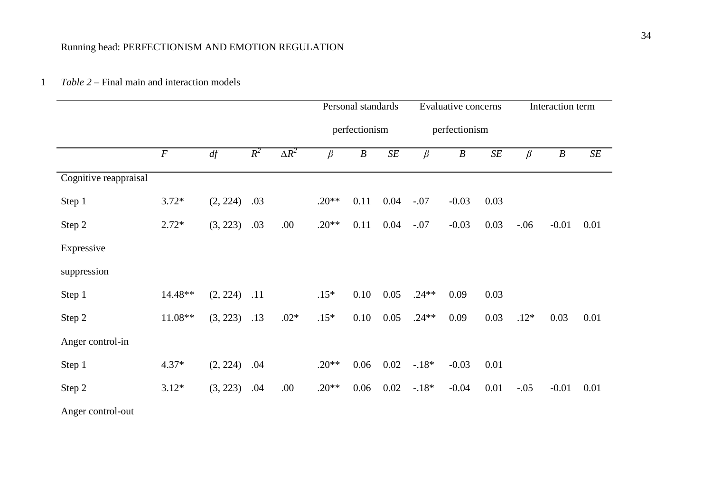## 1 *Table 2 –* Final main and interaction models

|                       |                  |          |       |              | Personal standards |                  |           |         | <b>Evaluative concerns</b> |           | Interaction term |                  |      |  |
|-----------------------|------------------|----------|-------|--------------|--------------------|------------------|-----------|---------|----------------------------|-----------|------------------|------------------|------|--|
|                       |                  |          |       |              |                    | perfectionism    |           |         | perfectionism              |           |                  |                  |      |  |
|                       | $\boldsymbol{F}$ | df       | $R^2$ | $\Delta R^2$ | $\beta$            | $\boldsymbol{B}$ | $\cal SE$ | $\beta$ | $\boldsymbol{B}$           | $\cal SE$ | $\beta$          | $\boldsymbol{B}$ | SE   |  |
| Cognitive reappraisal |                  |          |       |              |                    |                  |           |         |                            |           |                  |                  |      |  |
| Step 1                | $3.72*$          | (2, 224) | .03   |              | $.20**$            | 0.11             | 0.04      | $-.07$  | $-0.03$                    | 0.03      |                  |                  |      |  |
| Step 2                | $2.72*$          | (3, 223) | .03   | .00.         | $.20**$            | 0.11             | 0.04      | $-.07$  | $-0.03$                    | 0.03      | $-.06$           | $-0.01$          | 0.01 |  |
| Expressive            |                  |          |       |              |                    |                  |           |         |                            |           |                  |                  |      |  |
| suppression           |                  |          |       |              |                    |                  |           |         |                            |           |                  |                  |      |  |
| Step 1                | 14.48**          | (2, 224) | .11   |              | $.15*$             | 0.10             | 0.05      | $.24**$ | 0.09                       | 0.03      |                  |                  |      |  |
| Step 2                | 11.08**          | (3, 223) | .13   | $.02*$       | $.15*$             | 0.10             | 0.05      | $.24**$ | 0.09                       | 0.03      | $.12*$           | 0.03             | 0.01 |  |
| Anger control-in      |                  |          |       |              |                    |                  |           |         |                            |           |                  |                  |      |  |
| Step 1                | $4.37*$          | (2, 224) | .04   |              | $.20**$            | 0.06             | 0.02      | $-18*$  | $-0.03$                    | 0.01      |                  |                  |      |  |
| Step 2                | $3.12*$          | (3, 223) | .04   | .00.         | $.20**$            | 0.06             | 0.02      | $-18*$  | $-0.04$                    | 0.01      | $-.05$           | $-0.01$          | 0.01 |  |
| Anger control-out     |                  |          |       |              |                    |                  |           |         |                            |           |                  |                  |      |  |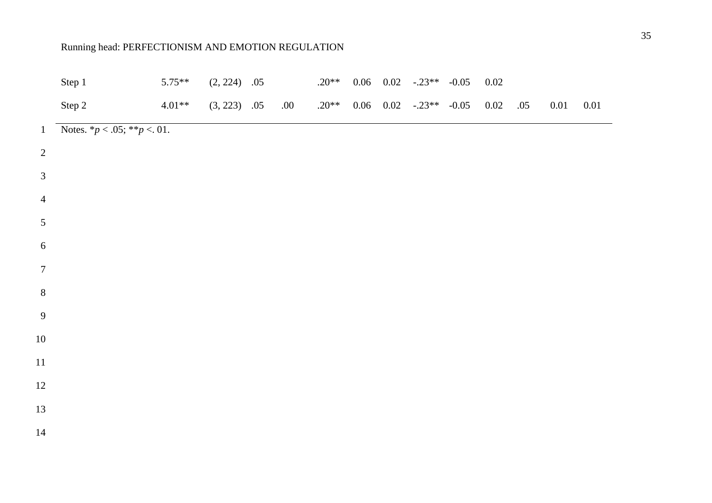|                  | Step 1                               | $5.75**$ | $(2, 224)$ .05 |      | $.20**$ |  | $0.06$ $0.02$ $-.23**$ $-0.05$  | $0.02\,$ |     |      |          |
|------------------|--------------------------------------|----------|----------------|------|---------|--|---------------------------------|----------|-----|------|----------|
|                  | Step 2                               | $4.01**$ | $(3, 223)$ .05 | .00. | $.20**$ |  | $0.06$ $0.02$ $-0.23**$ $-0.05$ | 0.02     | .05 | 0.01 | $0.01\,$ |
| $\mathbf{1}$     | Notes. $*_{p} < .05; **_{p} < .01$ . |          |                |      |         |  |                                 |          |     |      |          |
| $\sqrt{2}$       |                                      |          |                |      |         |  |                                 |          |     |      |          |
| $\mathfrak{Z}$   |                                      |          |                |      |         |  |                                 |          |     |      |          |
| $\overline{4}$   |                                      |          |                |      |         |  |                                 |          |     |      |          |
| 5                |                                      |          |                |      |         |  |                                 |          |     |      |          |
| $\sqrt{6}$       |                                      |          |                |      |         |  |                                 |          |     |      |          |
| $\boldsymbol{7}$ |                                      |          |                |      |         |  |                                 |          |     |      |          |
| $8\,$            |                                      |          |                |      |         |  |                                 |          |     |      |          |
| 9                |                                      |          |                |      |         |  |                                 |          |     |      |          |
| $10\,$           |                                      |          |                |      |         |  |                                 |          |     |      |          |
| $11\,$           |                                      |          |                |      |         |  |                                 |          |     |      |          |
| $12\,$           |                                      |          |                |      |         |  |                                 |          |     |      |          |
| 13               |                                      |          |                |      |         |  |                                 |          |     |      |          |
| $14\,$           |                                      |          |                |      |         |  |                                 |          |     |      |          |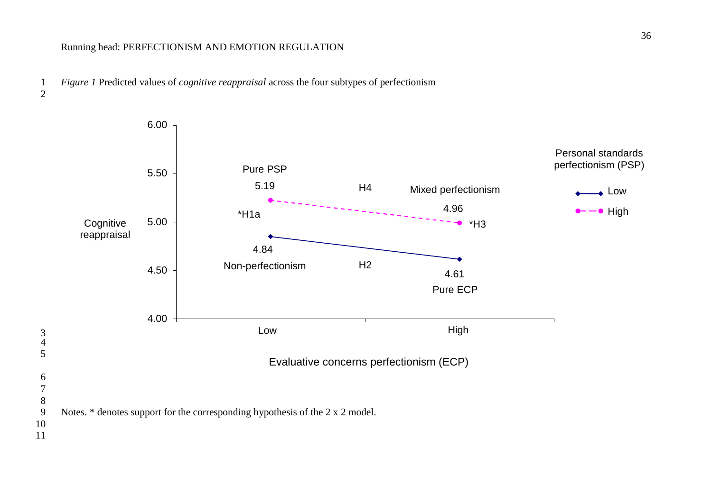

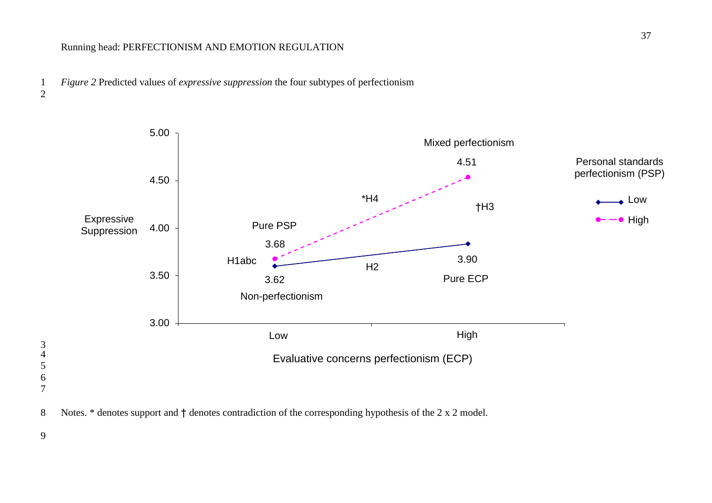







9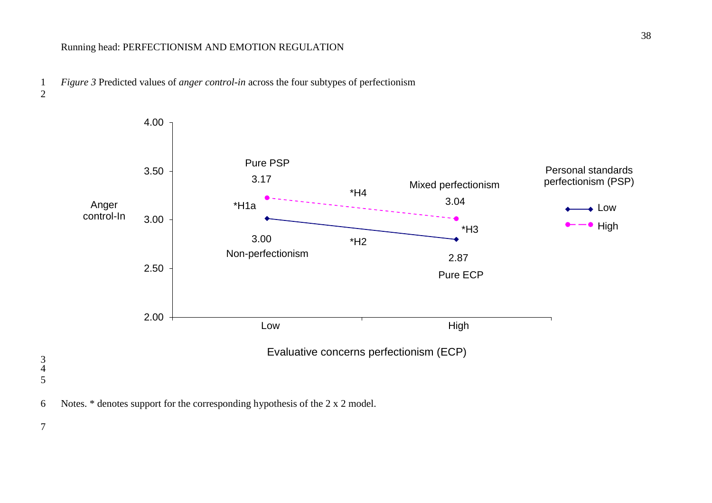1 *Figure 3* Predicted values of *anger control-in* across the four subtypes of perfectionism 2





7